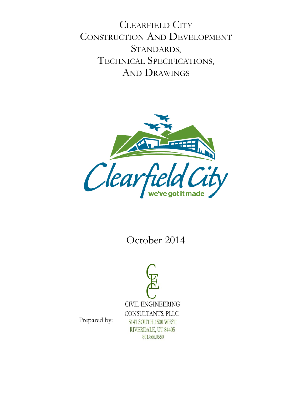CLEARFIELD CITY CONSTRUCTION AND DEVELOPMENT STANDARDS, TECHNICAL SPECIFICATIONS, AND DRAWINGS



# October 2014



Prepared by: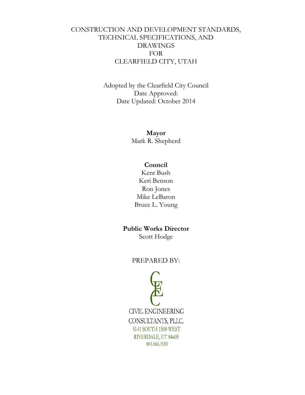### CONSTRUCTION AND DEVELOPMENT STANDARDS, TECHNICAL SPECIFICATIONS, AND DRAWINGS FOR CLEARFIELD CITY, UTAH

Adopted by the Clearfield City Council Date Approved: Date Updated: October 2014

> **Mayor** Mark R. Shepherd

#### **Council**

Kent Bush Keri Benson Ron Jones Mike LeBaron Bruce L. Young

#### **Public Works Director**

Scott Hodge

#### PREPARED BY:

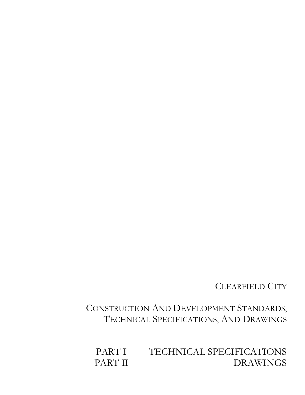CLEARFIELD CITY

 CONSTRUCTION AND DEVELOPMENT STANDARDS, TECHNICAL SPECIFICATIONS, AND DRAWINGS

PART I TECHNICAL SPECIFICATIONS<br>PART II DRAWINGS **DRAWINGS**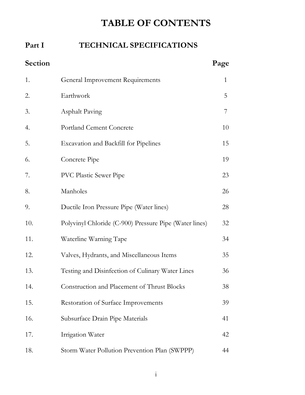# **TABLE OF CONTENTS**

### Part I **TECHNICAL SPECIFICATIONS**

| Section |                                                        | Page |
|---------|--------------------------------------------------------|------|
| 1.      | General Improvement Requirements                       | 1    |
| 2.      | Earthwork                                              | 5    |
| 3.      | <b>Asphalt Paving</b>                                  | 7    |
| 4.      | <b>Portland Cement Concrete</b>                        | 10   |
| 5.      | <b>Excavation and Backfill for Pipelines</b>           | 15   |
| 6.      | Concrete Pipe                                          | 19   |
| 7.      | <b>PVC Plastic Sewer Pipe</b>                          | 23   |
| 8.      | Manholes                                               | 26   |
| 9.      | Ductile Iron Pressure Pipe (Water lines)               | 28   |
| 10.     | Polyvinyl Chloride (C-900) Pressure Pipe (Water lines) | 32   |
| 11.     | Waterline Warning Tape                                 | 34   |
| 12.     | Valves, Hydrants, and Miscellaneous Items              | 35   |
| 13.     | Testing and Disinfection of Culinary Water Lines       | 36   |
| 14.     | Construction and Placement of Thrust Blocks            | 38   |
| 15.     | Restoration of Surface Improvements                    | 39   |
| 16.     | Subsurface Drain Pipe Materials                        | 41   |
| 17.     | Irrigation Water                                       | 42   |
| 18.     | Storm Water Pollution Prevention Plan (SWPPP)          | 44   |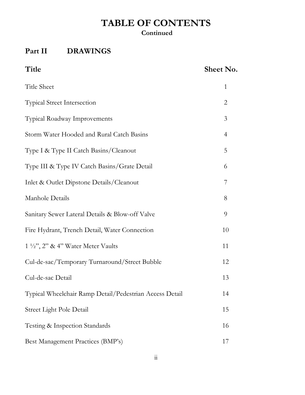# **TABLE OF CONTENTS**

### **Continued**

## **Part II DRAWINGS**

### Title Sheet No.

| Title Sheet                                             | 1              |
|---------------------------------------------------------|----------------|
| <b>Typical Street Intersection</b>                      | $\overline{2}$ |
| Typical Roadway Improvements                            | 3              |
| Storm Water Hooded and Rural Catch Basins               | 4              |
| Type I & Type II Catch Basins/Cleanout                  | 5              |
| Type III & Type IV Catch Basins/Grate Detail            | 6              |
| Inlet & Outlet Dipstone Details/Cleanout                | 7              |
| Manhole Details                                         | 8              |
| Sanitary Sewer Lateral Details & Blow-off Valve         | 9              |
| Fire Hydrant, Trench Detail, Water Connection           | 10             |
| $1\frac{1}{2}$ , $2$ , $2$ & $4$ . Water Meter Vaults   | 11             |
| Cul-de-sac/Temporary Turnaround/Street Bubble           | 12             |
| Cul-de-sac Detail                                       | 13             |
| Typical Wheelchair Ramp Detail/Pedestrian Access Detail | 14             |
| Street Light Pole Detail                                | 15             |
| Testing & Inspection Standards                          | 16             |
| Best Management Practices (BMP's)                       | 17             |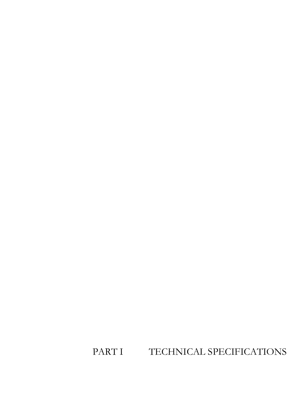PART I TECHNICAL SPECIFICATIONS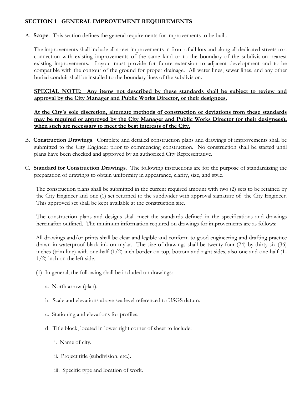#### **SECTION 1** - **GENERAL IMPROVEMENT REQUIREMENTS**

A. **Scope**. This section defines the general requirements for improvements to be built.

 The improvements shall include all street improvements in front of all lots and along all dedicated streets to a connection with existing improvements of the same kind or to the boundary of the subdivision nearest existing improvements. Layout must provide for future extension to adjacent development and to be compatible with the contour of the ground for proper drainage. All water lines, sewer lines, and any other buried conduit shall be installed to the boundary lines of the subdivision.

**SPECIAL NOTE: Any items not described by these standards shall be subject to review and approval by the City Manager and Public Works Director, or their designees.**

**At the City's sole discretion, alternate methods of construction or deviations from these standards may be required or approved by the City Manager and Public Works Director (or their designees), when such are necessary to meet the best interests of the City.**

- B. **Construction Drawings**. Complete and detailed construction plans and drawings of improvements shall be submitted to the City Engineer prior to commencing construction. No construction shall be started until plans have been checked and approved by an authorized City Representative.
- C. **Standard for Construction Drawings**. The following instructions are for the purpose of standardizing the preparation of drawings to obtain uniformity in appearance, clarity, size, and style.

 The construction plans shall be submitted in the current required amount with two (2) sets to be retained by the City Engineer and one (1) set returned to the subdivider with approval signature of the City Engineer. This approved set shall be kept available at the construction site.

 The construction plans and designs shall meet the standards defined in the specifications and drawings hereinafter outlined. The minimum information required on drawings for improvements are as follows:

 All drawings and/or prints shall be clear and legible and conform to good engineering and drafting practice drawn in waterproof black ink on mylar. The size of drawings shall be twenty-four (24) by thirty-six (36) inches (trim line) with one-half (1/2) inch border on top, bottom and right sides, also one and one-half (1- 1/2) inch on the left side.

- (1) In general, the following shall be included on drawings:
	- a. North arrow (plan).
	- b. Scale and elevations above sea level referenced to USGS datum.
	- c. Stationing and elevations for profiles.
	- d. Title block, located in lower right corner of sheet to include:
		- i. Name of city.
		- ii. Project title (subdivision, etc.).
		- iii. Specific type and location of work.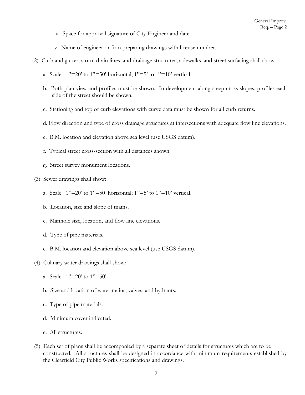- iv. Space for approval signature of City Engineer and date.
- v. Name of engineer or firm preparing drawings with license number.
- (2) Curb and gutter, storm drain lines, and drainage structures, sidewalks, and street surfacing shall show:
	- a. Scale:  $1"=20$ ' to  $1"=50$ ' horizontal;  $1"=5$ ' to  $1"=10$ ' vertical.
	- b. Both plan view and profiles must be shown. In development along steep cross slopes, profiles each side of the street should be shown.
	- c. Stationing and top of curb elevations with curve data must be shown for all curb returns.
	- d. Flow direction and type of cross drainage structures at intersections with adequate flow line elevations.
	- e. B.M. location and elevation above sea level (use USGS datum).
	- f. Typical street cross-section with all distances shown.
	- g. Street survey monument locations.
- (3) Sewer drawings shall show:
	- a. Scale:  $1"=20'$  to  $1"=50'$  horizontal;  $1"=5'$  to  $1"=10'$  vertical.
	- b. Location, size and slope of mains.
	- c. Manhole size, location, and flow line elevations.
	- d. Type of pipe materials.
	- e. B.M. location and elevation above sea level (use USGS datum).
- (4) Culinary water drawings shall show:
	- a. Scale: 1"=20' to 1"=50'.
	- b. Size and location of water mains, valves, and hydrants.
	- c. Type of pipe materials.
	- d. Minimum cover indicated.
	- e. All structures.
- (5) Each set of plans shall be accompanied by a separate sheet of details for structures which are to be constructed. All structures shall be designed in accordance with minimum requirements established by the Clearfield City Public Works specifications and drawings.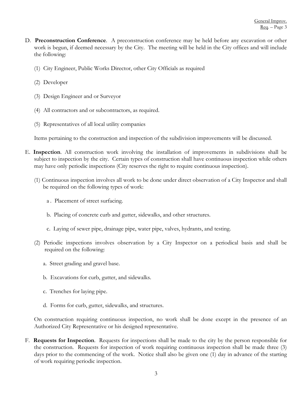- D. **Preconstruction Conference**. A preconstruction conference may be held before any excavation or other work is begun, if deemed necessary by the City. The meeting will be held in the City offices and will include the following:
	- (1) City Engineer, Public Works Director, other City Officials as required
	- (2) Developer
	- (3) Design Engineer and or Surveyor
	- (4) All contractors and or subcontractors, as required.
	- (5) Representatives of all local utility companies

Items pertaining to the construction and inspection of the subdivision improvements will be discussed.

- E. **Inspection**. All construction work involving the installation of improvements in subdivisions shall be subject to inspection by the city. Certain types of construction shall have continuous inspection while others may have only periodic inspections (City reserves the right to require continuous inspection).
	- (1) Continuous inspection involves all work to be done under direct observation of a City Inspector and shall be required on the following types of work:
		- a . Placement of street surfacing.
		- b. Placing of concrete curb and gutter, sidewalks, and other structures.
		- c. Laying of sewer pipe, drainage pipe, water pipe, valves, hydrants, and testing.
	- (2) Periodic inspections involves observation by a City Inspector on a periodical basis and shall be required on the following:
		- a. Street grading and gravel base.
		- b. Excavations for curb, gutter, and sidewalks.
		- c. Trenches for laying pipe.
		- d. Forms for curb, gutter, sidewalks, and structures.

On construction requiring continuous inspection, no work shall be done except in the presence of an Authorized City Representative or his designed representative.

F. **Requests for Inspection**. Requests for inspections shall be made to the city by the person responsible for the construction. Requests for inspection of work requiring continuous inspection shall be made three (3) days prior to the commencing of the work. Notice shall also be given one (1) day in advance of the starting of work requiring periodic inspection.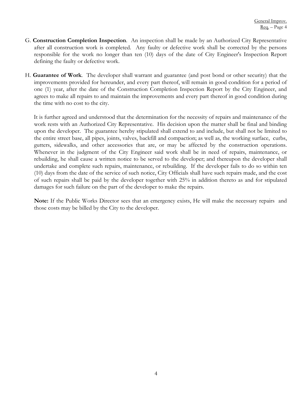- G. **Construction Completion Inspection**. An inspection shall be made by an Authorized City Representative after all construction work is completed. Any faulty or defective work shall be corrected by the persons responsible for the work no longer than ten (10) days of the date of City Engineer's Inspection Report defining the faulty or defective work.
- H. **Guarantee of Work**. The developer shall warrant and guarantee (and post bond or other security) that the improvements provided for hereunder, and every part thereof, will remain in good condition for a period of one (1) year, after the date of the Construction Completion Inspection Report by the City Engineer, and agrees to make all repairs to and maintain the improvements and every part thereof in good condition during the time with no cost to the city.

 It is further agreed and understood that the determination for the necessity of repairs and maintenance of the work rests with an Authorized City Representative. His decision upon the matter shall be final and binding upon the developer. The guarantee hereby stipulated shall extend to and include, but shall not be limited to the entire street base, all pipes, joints, valves, backfill and compaction; as well as, the working surface, curbs, gutters, sidewalks, and other accessories that are, or may be affected by the construction operations. Whenever in the judgment of the City Engineer said work shall be in need of repairs, maintenance, or rebuilding, he shall cause a written notice to be served to the developer; and thereupon the developer shall undertake and complete such repairs, maintenance, or rebuilding. If the developer fails to do so within ten (10) days from the date of the service of such notice, City Officials shall have such repairs made, and the cost of such repairs shall be paid by the developer together with 25% in addition thereto as and for stipulated damages for such failure on the part of the developer to make the repairs.

 **Note:** If the Public Works Director sees that an emergency exists, He will make the necessary repairs and those costs may be billed by the City to the developer.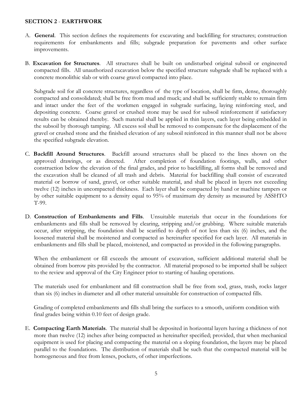#### **SECTION 2** - **EARTHWORK**

- A. **General**. This section defines the requirements for excavating and backfilling for structures; construction requirements for embankments and fills; subgrade preparation for pavements and other surface improvements.
- B. **Excavation for Structures**. All structures shall be built on undisturbed original subsoil or engineered compacted fills. All unauthorized excavation below the specified structure subgrade shall be replaced with a concrete monolithic slab or with coarse gravel compacted into place.

 Subgrade soil for all concrete structures, regardless of the type of location, shall be firm, dense, thoroughly compacted and consolidated; shall be free from mud and muck; and shall be sufficiently stable to remain firm and intact under the feet of the workmen engaged in subgrade surfacing, laying reinforcing steel, and depositing concrete. Coarse gravel or crushed stone may be used for subsoil reinforcement if satisfactory results can be obtained thereby. Such material shall be applied in thin layers, each layer being embedded in the subsoil by thorough tamping. All excess soil shall be removed to compensate for the displacement of the gravel or crushed stone and the finished elevation of any subsoil reinforced in this manner shall not be above the specified subgrade elevation.

- C. **Backfill Around Structures**. Backfill around structures shall be placed to the lines shown on the approved drawings, or as directed. After completion of foundation footings, walls, and other construction below the elevation of the final grades, and prior to backfilling, all forms shall be removed and the excavation shall be cleaned of all trash and debris. Material for backfilling shall consist of excavated material or borrow of sand, gravel, or other suitable material, and shall be placed in layers not exceeding twelve (12) inches in uncompacted thickness. Each layer shall be compacted by hand or machine tampers or by other suitable equipment to a density equal to 95% of maximum dry density as measured by ASSHTO T-99.
- D. **Construction of Embankments and Fills**. Unsuitable materials that occur in the foundations for embankments and fills shall be removed by clearing, stripping and/or grubbing. Where suitable materials occur, after stripping, the foundation shall be scarified to depth of not less than six (6) inches, and the loosened material shall be moistened and compacted as hereinafter specified for each layer. All materials in embankments and fills shall be placed, moistened, and compacted as provided in the following paragraphs.

When the embankment or fill exceeds the amount of excavation, sufficient additional material shall be obtained from borrow pits provided by the contractor. All material proposed to be imported shall be subject to the review and approval of the City Engineer prior to starting of hauling operations.

The materials used for embankment and fill construction shall be free from sod, grass, trash, rocks larger than six (6) inches in diameter and all other material unsuitable for construction of compacted fills.

 Grading of completed embankments and fills shall bring the surfaces to a smooth, uniform condition with final grades being within 0.10 feet of design grade.

E. **Compacting Earth Materials**. The material shall be deposited in horizontal layers having a thickness of not more than twelve (12) inches after being compacted as hereinafter specified; provided, that when mechanical equipment is used for placing and compacting the material on a sloping foundation, the layers may be placed parallel to the foundations. The distribution of materials shall be such that the compacted material will be homogeneous and free from lenses, pockets, of other imperfections.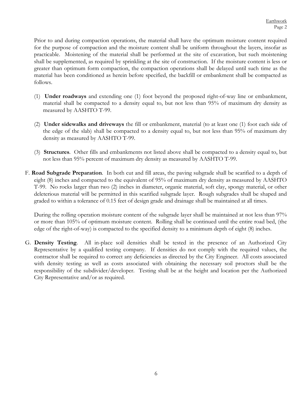Prior to and during compaction operations, the material shall have the optimum moisture content required for the purpose of compaction and the moisture content shall be uniform throughout the layers, insofar as practicable. Moistening of the material shall be performed at the site of excavation, but such moistening shall be supplemented, as required by sprinkling at the site of construction. If the moisture content is less or greater than optimum form compaction, the compaction operations shall be delayed until such time as the material has been conditioned as herein before specified, the backfill or embankment shall be compacted as follows.

- (1) **Under roadways** and extending one (1) foot beyond the proposed right-of-way line or embankment, material shall be compacted to a density equal to, but not less than 95% of maximum dry density as measured by AASHTO T-99.
- (2) **Under sidewalks and driveways** the fill or embankment, material (to at least one (1) foot each side of the edge of the slab) shall be compacted to a density equal to, but not less than 95% of maximum dry density as measured by AASHTO T-99.
- (3) **Structures**. Other fills and embankments not listed above shall be compacted to a density equal to, but not less than 95% percent of maximum dry density as measured by AASHTO T-99.
- F. **Road Subgrade Preparation**. In both cut and fill areas, the paving subgrade shall be scarified to a depth of eight (8) inches and compacted to the equivalent of 95% of maximum dry density as measured by AASHTO T-99. No rocks larger than two (2) inches in diameter, organic material, soft clay, spongy material, or other deleterious material will be permitted in this scarified subgrade layer. Rough subgrades shall be shaped and graded to within a tolerance of 0.15 feet of design grade and drainage shall be maintained at all times.

During the rolling operation moisture content of the subgrade layer shall be maintained at not less than 97% or more than 105% of optimum moisture content. Rolling shall be continued until the entire road bed, (the edge of the right-of-way) is compacted to the specified density to a minimum depth of eight (8) inches.

G. **Density Testing**. All in-place soil densities shall be tested in the presence of an Authorized City Representative by a qualified testing company. If densities do not comply with the required values, the contractor shall be required to correct any deficiencies as directed by the City Engineer. All costs associated with density testing as well as costs associated with obtaining the necessary soil proctors shall be the responsibility of the subdivider/developer. Testing shall be at the height and location per the Authorized City Representative and/or as required.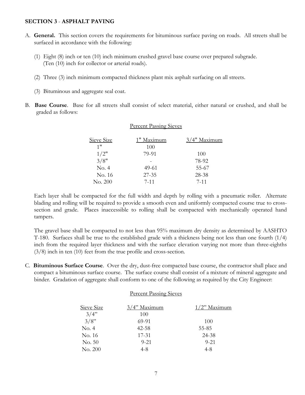#### **SECTION 3** - **ASPHALT PAVING**

- A. **General.** This section covers the requirements for bituminous surface paving on roads. All streets shall be surfaced in accordance with the following:
	- (1) Eight (8) inch or ten (10) inch minimum crushed gravel base course over prepared subgrade. (Ten (10) inch for collector or arterial roads).
	- (2) Three (3) inch minimum compacted thickness plant mix asphalt surfacing on all streets.
	- (3) Bituminous and aggregate seal coat.
- B. **Base Course**. Base for all streets shall consist of select material, either natural or crushed, and shall be graded as follows:

Percent Passing Sieves

| Sieve Size | 1" Maximum | $3/4$ " Maximum |
|------------|------------|-----------------|
| 1"         | 100        |                 |
| 1/2"       | 79-91      | 100             |
| 3/8"       |            | 78-92           |
| No. 4      | 49-61      | 55-67           |
| No. 16     | $27 - 35$  | 28-38           |
| No. 200    | $7 - 11$   | $7-11$          |

#### Each layer shall be compacted for the full width and depth by rolling with a pneumatic roller. Alternate blading and rolling will be required to provide a smooth even and uniformly compacted course true to crosssection and grade. Places inaccessible to rolling shall be compacted with mechanically operated hand tampers.

The gravel base shall be compacted to not less than 95% maximum dry density as determined by AASHTO T-180. Surfaces shall be true to the established grade with a thickness being not less than one fourth (1/4) inch from the required layer thickness and with the surface elevation varying not more than three-eighths (3/8) inch in ten (10) feet from the true profile and cross-section.

C. **Bituminous Surface Course**. Over the dry, dust-free compacted base course, the contractor shall place and compact a bituminous surface course. The surface course shall consist of a mixture of mineral aggregate and binder. Gradation of aggregate shall conform to one of the following as required by the City Engineer:

#### Percent Passing Sieves

| Sieve Size | $3/4$ " Maximum | $1/2$ " Maximum |
|------------|-----------------|-----------------|
| 3/4"       | 100             |                 |
| 3/8"       | 69-91           | 100             |
| No. 4      | $42 - 58$       | 55-85           |
| No. 16     | 17-31           | 24-38           |
| No. 50     | $9 - 21$        | $9 - 21$        |
| No. 200    | $4-8$           | $4-8$           |
|            |                 |                 |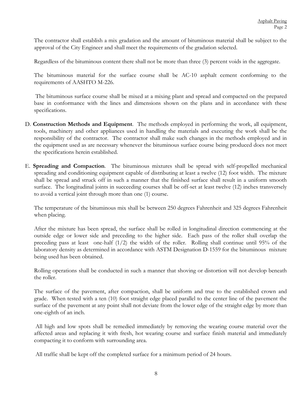The contractor shall establish a mix gradation and the amount of bituminous material shall be subject to the approval of the City Engineer and shall meet the requirements of the gradation selected.

Regardless of the bituminous content there shall not be more than three (3) percent voids in the aggregate.

The bituminous material for the surface course shall be AC-10 asphalt cement conforming to the requirements of AASHTO M-226.

 The bituminous surface course shall be mixed at a mixing plant and spread and compacted on the prepared base in conformance with the lines and dimensions shown on the plans and in accordance with these specifications.

- D. **Construction Methods and Equipment**. The methods employed in performing the work, all equipment, tools, machinery and other appliances used in handling the materials and executing the work shall be the responsibility of the contractor. The contractor shall make such changes in the methods employed and in the equipment used as are necessary whenever the bituminous surface course being produced does not meet the specifications herein established.
- E. **Spreading and Compaction**. The bituminous mixtures shall be spread with self-propelled mechanical spreading and conditioning equipment capable of distributing at least a twelve (12) foot width. The mixture shall be spread and struck off in such a manner that the finished surface shall result in a uniform smooth surface. The longitudinal joints in succeeding courses shall be off-set at least twelve (12) inches transversely to avoid a vertical joint through more than one (1) course.

The temperature of the bituminous mix shall be between 250 degrees Fahrenheit and 325 degrees Fahrenheit when placing.

After the mixture has been spread, the surface shall be rolled in longitudinal direction commencing at the outside edge or lower side and preceding to the higher side. Each pass of the roller shall overlap the preceding pass at least one-half (1/2) the width of the roller. Rolling shall continue until 95% of the laboratory density as determined in accordance with ASTM Designation D-1559 for the bituminous mixture being used has been obtained.

Rolling operations shall be conducted in such a manner that shoving or distortion will not develop beneath the roller.

The surface of the pavement, after compaction, shall be uniform and true to the established crown and grade. When tested with a ten (10) foot straight edge placed parallel to the center line of the pavement the surface of the pavement at any point shall not deviate from the lower edge of the straight edge by more than one-eighth of an inch.

 All high and low spots shall be remedied immediately by removing the wearing course material over the affected areas and replacing it with fresh, hot wearing course and surface finish material and immediately compacting it to conform with surrounding area.

All traffic shall be kept off the completed surface for a minimum period of 24 hours.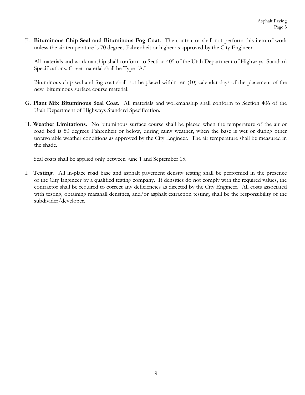F. **Bituminous Chip Seal and Bituminous Fog Coat.** The contractor shall not perform this item of work unless the air temperature is 70 degrees Fahrenheit or higher as approved by the City Engineer.

All materials and workmanship shall conform to Section 405 of the Utah Department of Highways Standard Specifications. Cover material shall be Type "A."

Bituminous chip seal and fog coat shall not be placed within ten (10) calendar days of the placement of the new bituminous surface course material.

- G. **Plant Mix Bituminous Seal Coat**. All materials and workmanship shall conform to Section 406 of the Utah Department of Highways Standard Specification.
- H. **Weather Limitations**. No bituminous surface course shall be placed when the temperature of the air or road bed is 50 degrees Fahrenheit or below, during rainy weather, when the base is wet or during other unfavorable weather conditions as approved by the City Engineer. The air temperature shall be measured in the shade.

Seal coats shall be applied only between June 1 and September 15.

I. **Testing**. All in-place road base and asphalt pavement density testing shall be performed in the presence of the City Engineer by a qualified testing company. If densities do not comply with the required values, the contractor shall be required to correct any deficiencies as directed by the City Engineer. All costs associated with testing, obtaining marshall densities, and/or asphalt extraction testing, shall be the responsibility of the subdivider/developer.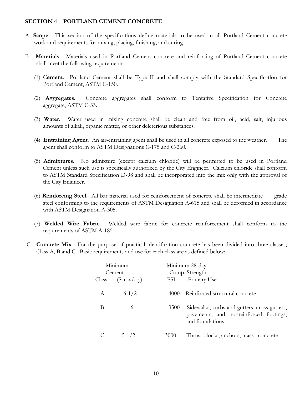#### **SECTION 4** - **PORTLAND CEMENT CONCRETE**

- A. **Scope**. This section of the specifications define materials to be used in all Portland Cement concrete work and requirements for mixing, placing, finishing, and curing.
- B. **Materials**. Materials used in Portland Cement concrete and reinforcing of Portland Cement concrete shall meet the following requirements:
	- (1) C**ement**. Portland Cement shall be Type II and shall comply with the Standard Specification for Portland Cement, ASTM C-150.
	- (2) **Aggregates**. Concrete aggregates shall conform to Tentative Specification for Concrete aggregate, ASTM C-33.
	- (3) **Water**. Water used in mixing concrete shall be clean and free from oil, acid, salt, injurious amounts of alkali, organic matter, or other deleterious substances.
	- (4) **Entraining Agent**. An air-entraining agent shall be used in all concrete exposed to the weather. The agent shall conform to ASTM Designations C-175 and C-260.
	- (5) **Admixtures.** No admixture (except calcium chloride) will be permitted to be used in Portland Cement unless such use is specifically authorized by the City Engineer. Calcium chloride shall conform to ASTM Standard Specification D-98 and shall be incorporated into the mix only with the approval of the City Engineer.
	- (6) **Reinforcing Steel**. All bar material used for reinforcement of concrete shall be intermediate grade steel conforming to the requirements of ASTM Designation A-615 and shall be deformed in accordance with ASTM Designation A-305.
	- (7) **Welded Wire Fabric**. Welded wire fabric for concrete reinforcement shall conform to the requirements of ASTM A-185.
- C. **Concrete Mix**. For the purpose of practical identification concrete has been divided into three classes; Class A, B and C. Basic requirements and use for each class are as defined below:

| Minimum<br>Cement |             |            | Minimum 28-day<br>Comp. Strength                                                                          |
|-------------------|-------------|------------|-----------------------------------------------------------------------------------------------------------|
| <u>Class</u>      | (Sacks/c.y) | <u>PSI</u> | Primary Use                                                                                               |
| A                 | $6 - 1/2$   | 4000       | Reinforced structural concrete                                                                            |
| B                 | 6           | 3500       | Sidewalks, curbs and gutters, cross gutters,<br>pavements, and nonreinforced footings,<br>and foundations |
|                   | $5-1/2$     | 3000       | Thrust blocks, anchors, mass concrete                                                                     |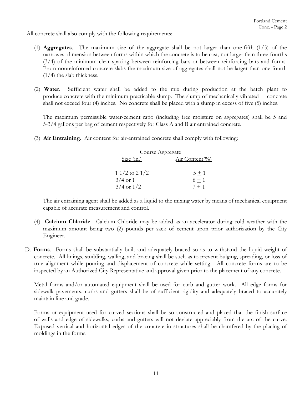All concrete shall also comply with the following requirements:

- (1) **Aggregates**. The maximum size of the aggregate shall be not larger than one-fifth (1/5) of the narrowest dimension between forms within which the concrete is to be cast, nor larger than three-fourths (3/4) of the minimum clear spacing between reinforcing bars or between reinforcing bars and forms. From nonreinforced concrete slabs the maximum size of aggregates shall not be larger than one-fourth  $(1/4)$  the slab thickness.
- (2) **Water**. Sufficient water shall be added to the mix during production at the batch plant to produce concrete with the minimum practicable slump. The slump of mechanically vibrated concrete shall not exceed four (4) inches. No concrete shall be placed with a slump in excess of five (5) inches.

The maximum permissible water-cement ratio (including free moisture on aggregates) shall be 5 and 5-3/4 gallons per bag of cement respectively for Class A and B air entrained concrete.

(3) **Air Entraining**. Air content for air-entrained concrete shall comply with following:

| Course Aggregate |                |
|------------------|----------------|
| Size (in.)       | Air Content(%) |
| $11/2$ to $21/2$ | $5 + 1$        |
| $3/4$ or 1       | $6 + 1$        |
| $3/4$ or $1/2$   | $7 + 1$        |

The air entraining agent shall be added as a liquid to the mixing water by means of mechanical equipment capable of accurate measurement and control.

- (4) **Calcium Chloride**. Calcium Chloride may be added as an accelerator during cold weather with the maximum amount being two (2) pounds per sack of cement upon prior authorization by the City Engineer.
- D. **Forms**. Forms shall be substantially built and adequately braced so as to withstand the liquid weight of concrete. All linings, studding, walling, and bracing shall be such as to prevent bulging, spreading, or loss of true alignment while pouring and displacement of concrete while setting. All concrete forms are to be inspected by an Authorized City Representative and approval given prior to the placement of any concrete.

Metal forms and/or automated equipment shall be used for curb and gutter work. All edge forms for sidewalk pavements, curbs and gutters shall be of sufficient rigidity and adequately braced to accurately maintain line and grade.

Forms or equipment used for curved sections shall be so constructed and placed that the finish surface of walls and edge of sidewalks, curbs and gutters will not deviate appreciably from the arc of the curve. Exposed vertical and horizontal edges of the concrete in structures shall be chamfered by the placing of moldings in the forms.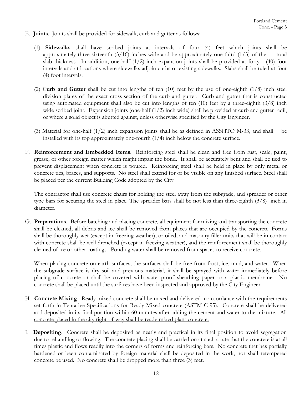- E. **Joints**. Joints shall be provided for sidewalk, curb and gutter as follows:
	- (1) **Sidewalks** shall have scribed joints at intervals of four (4) feet which joints shall be approximately three-sixteenth  $(3/16)$  inches wide and be approximately one-third  $(1/3)$  of the total slab thickness. In addition, one-half (1/2) inch expansion joints shall be provided at forty (40) foot intervals and at locations where sidewalks adjoin curbs or existing sidewalks. Slabs shall be ruled at four (4) foot intervals.
	- (2) C**urb and Gutter** shall be cut into lengths of ten (10) feet by the use of one-eighth (1/8) inch steel division plates of the exact cross-section of the curb and gutter. Curb and gutter that is constructed using automated equipment shall also be cut into lengths of ten (10) feet by a three-eighth (3/8) inch wide scribed joint. Expansion joints (one-half  $(1/2)$  inch wide) shall be provided at curb and gutter radii, or where a solid object is abutted against, unless otherwise specified by the City Engineer.
	- (3) Material for one-half (1/2) inch expansion joints shall be as defined in ASSHTO M-33, and shall be installed with its top approximately one-fourth  $(1/4)$  inch below the concrete surface.
- F. **Reinforcement and Embedded Items**. Reinforcing steel shall be clean and free from rust, scale, paint, grease, or other foreign matter which might impair the bond. It shall be accurately bent and shall be tied to prevent displacement when concrete is poured. Reinforcing steel shall be held in place by only metal or concrete ties, braces, and supports. No steel shall extend for or be visible on any finished surface. Steel shall be placed per the current Building Code adopted by the City.

The contractor shall use concrete chairs for holding the steel away from the subgrade, and spreader or other type bars for securing the steel in place. The spreader bars shall be not less than three-eighth (3/8) inch in diameter.

G. **Preparations**. Before batching and placing concrete, all equipment for mixing and transporting the concrete shall be cleaned, all debris and ice shall be removed from places that are occupied by the concrete. Forms shall be thoroughly wet (except in freezing weather), or oiled, and masonry filler units that will be in contact with concrete shall be well drenched (except in freezing weather), and the reinforcement shall be thoroughly cleaned of ice or other coatings. Ponding water shall be removed from spaces to receive concrete.

When placing concrete on earth surfaces, the surfaces shall be free from frost, ice, mud, and water. When the subgrade surface is dry soil and previous material, it shall be sprayed with water immediately before placing of concrete or shall be covered with water-proof sheathing paper or a plastic membrane. No concrete shall be placed until the surfaces have been inspected and approved by the City Engineer.

- H. **Concrete Mixing**. Ready mixed concrete shall be mixed and delivered in accordance with the requirements set forth in Tentative Specifications for Ready-Mixed concrete (ASTM C-95). Concrete shall be delivered and deposited in its final position within 60-minutes after adding the cement and water to the mixture. All concrete placed in the city right-of-way shall be ready-mixed plant concrete.
- I. **Depositing**. Concrete shall be deposited as neatly and practical in its final position to avoid segregation due to rehandling or flowing. The concrete placing shall be carried on at such a rate that the concrete is at all times plastic and flows readily into the corners of forms and reinforcing bars. No concrete that has partially hardened or been contaminated by foreign material shall be deposited in the work, nor shall retempered concrete be used. No concrete shall be dropped more than three (3) feet.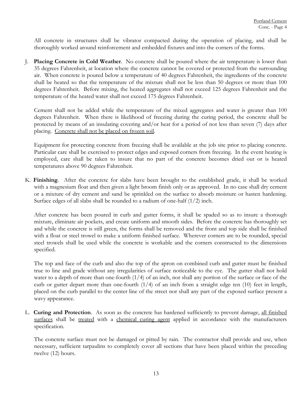All concrete in structures shall be vibrator compacted during the operation of placing, and shall be thoroughly worked around reinforcement and embedded fixtures and into the corners of the forms.

J. **Placing Concrete in Cold Weather**. No concrete shall be poured where the air temperature is lower than 35 degrees Fahrenheit, at location where the concrete cannot be covered or protected from the surrounding air. When concrete is poured below a temperature of 40 degrees Fahrenheit, the ingredients of the concrete shall be heated so that the temperature of the mixture shall not be less than 50 degrees or more than 100 degrees Fahrenheit. Before mixing, the heated aggregates shall not exceed 125 degrees Fahrenheit and the temperature of the heated water shall not exceed 175 degrees Fahrenheit.

Cement shall not be added while the temperature of the mixed aggregates and water is greater than 100 degrees Fahrenheit. When there is likelihood of freezing during the curing period, the concrete shall be protected by means of an insulating covering and/or heat for a period of not less than seven (7) days after placing. Concrete shall not be placed on frozen soil.

Equipment for protecting concrete from freezing shall be available at the job site prior to placing concrete. Particular care shall be exercised to protect edges and exposed corners from freezing. In the event heating is employed, care shall be taken to insure that no part of the concrete becomes dried out or is heated temperatures above 90 degrees Fahrenheit.

K. **Finishing**. After the concrete for slabs have been brought to the established grade, it shall be worked with a magnesium float and then given a light broom finish only or as approved. In no case shall dry cement or a mixture of dry cement and sand be sprinkled on the surface to absorb moisture or hasten hardening. Surface edges of all slabs shall be rounded to a radium of one-half (1/2) inch.

After concrete has been poured in curb and gutter forms, it shall be spaded so as to insure a thorough mixture, eliminate air pockets, and create uniform and smooth sides. Before the concrete has thoroughly set and while the concrete is still green, the forms shall be removed and the front and top side shall be finished with a float or steel trowel to make a uniform finished surface. Wherever corners are to be rounded, special steel trowels shall be used while the concrete is workable and the corners constructed to the dimensions specified.

The top and face of the curb and also the top of the apron on combined curb and gutter must be finished true to line and grade without any irregularities of surface noticeable to the eye. The gutter shall not hold water to a depth of more than one-fourth (1/4) of an inch, nor shall any portion of the surface or face of the curb or gutter depart more than one-fourth (1/4) of an inch from a straight edge ten (10) feet in length, placed on the curb parallel to the center line of the street nor shall any part of the exposed surface present a wavy appearance.

L. **Curing and Protection**. As soon as the concrete has hardened sufficiently to prevent damage, all finished surfaces shall be treated with a chemical curing agent applied in accordance with the manufacturers specification.

The concrete surface must not be damaged or pitted by rain. The contractor shall provide and use, when necessary, sufficient tarpaulins to completely cover all sections that have been placed within the preceding twelve (12) hours.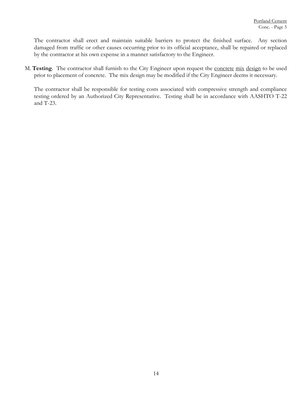The contractor shall erect and maintain suitable barriers to protect the finished surface. Any section damaged from traffic or other causes occurring prior to its official acceptance, shall be repaired or replaced by the contractor at his own expense in a manner satisfactory to the Engineer.

M. **Testing**. The contractor shall furnish to the City Engineer upon request the concrete mix design to be used prior to placement of concrete. The mix design may be modified if the City Engineer deems it necessary.

The contractor shall be responsible for testing costs associated with compressive strength and compliance testing ordered by an Authorized City Representative. Testing shall be in accordance with AASHTO T-22 and T-23.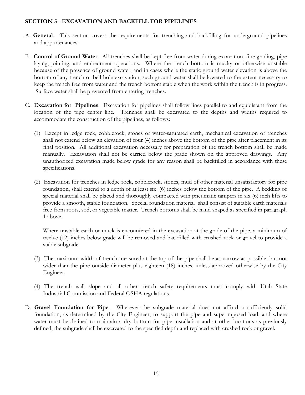#### **SECTION 5** - **EXCAVATION AND BACKFILL FOR PIPELINES**

- A. **General**. This section covers the requirements for trenching and backfilling for underground pipelines and appurtenances.
- B. **Control of Ground Water**. All trenches shall be kept free from water during excavation, fine grading, pipe laying, jointing, and embedment operations. Where the trench bottom is mucky or otherwise unstable because of the presence of ground water, and in cases where the static ground water elevation is above the bottom of any trench or bell-hole excavation, such ground water shall be lowered to the extent necessary to keep the trench free from water and the trench bottom stable when the work within the trench is in progress. Surface water shall be prevented from entering trenches.
- C. **Excavation for Pipelines**. Excavation for pipelines shall follow lines parallel to and equidistant from the location of the pipe center line. Trenches shall be excavated to the depths and widths required to accommodate the construction of the pipelines, as follows:
	- (1) Except in ledge rock, cobblerock, stones or water-saturated earth, mechanical excavation of trenches shall not extend below an elevation of four (4) inches above the bottom of the pipe after placement in its final position. All additional excavation necessary for preparation of the trench bottom shall be made manually. Excavation shall not be carried below the grade shown on the approved drawings. Any unauthorized excavation made below grade for any reason shall be backfilled in accordance with these specifications.
	- (2) Excavation for trenches in ledge rock, cobblerock, stones, mud of other material unsatisfactory for pipe foundation, shall extend to a depth of at least six (6) inches below the bottom of the pipe. A bedding of special material shall be placed and thoroughly compacted with pneumatic tampers in six (6) inch lifts to provide a smooth, stable foundation. Special foundation material shall consist of suitable earth materials free from roots, sod, or vegetable matter. Trench bottoms shall be hand shaped as specified in paragraph 1 above.

Where unstable earth or muck is encountered in the excavation at the grade of the pipe, a minimum of twelve (12) inches below grade will be removed and backfilled with crushed rock or gravel to provide a stable subgrade.

- (3) The maximum width of trench measured at the top of the pipe shall be as narrow as possible, but not wider than the pipe outside diameter plus eighteen (18) inches, unless approved otherwise by the City Engineer.
- (4) The trench wall slope and all other trench safety requirements must comply with Utah State Industrial Commission and Federal OSHA regulations.
- D. **Gravel Foundation for Pipe**. Wherever the subgrade material does not afford a sufficiently solid foundation, as determined by the City Engineer, to support the pipe and superimposed load, and where water must be drained to maintain a dry bottom for pipe installation and at other locations as previously defined, the subgrade shall be excavated to the specified depth and replaced with crushed rock or gravel.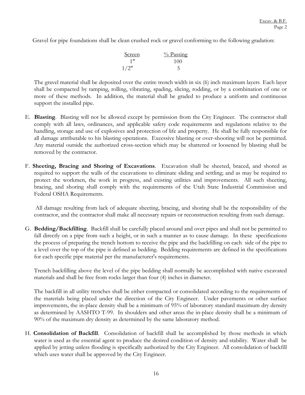Gravel for pipe foundations shall be clean crushed rock or gravel conforming to the following gradation:

| Screen | $\frac{0}{0}$ Passing |
|--------|-----------------------|
| 1"     | 100                   |
| 1/2"   |                       |

The gravel material shall be deposited over the entire trench width in six (6) inch maximum layers Each layer shall be compacted by tamping, rolling, vibrating, spading, slicing, rodding, or by a combination of one or more of these methods. In addition, the material shall be graded to produce a uniform and continuous support the installed pipe.

- E. **Blasting**. Blasting will not be allowed except by permission from the City Engineer. The contractor shall comply with all laws, ordinances, and applicable safety code requirements and regulations relative to the handling, storage and use of explosives and protection of life and property. He shall be fully responsible for all damage attributable to his blasting operations. Excessive blasting or over-shooting will not be permitted. Any material outside the authorized cross-section which may be shattered or loosened by blasting shall be removed by the contractor.
- F. **Sheeting, Bracing and Shoring of Excavations**. Excavation shall be sheeted, braced, and shored as required to support the walls of the excavations to eliminate sliding and settling; and as may be required to protect the workmen, the work in progress, and existing utilities and improvements. All such sheeting, bracing, and shoring shall comply with the requirements of the Utah State Industrial Commission and Federal OSHA Requirements.

 All damage resulting from lack of adequate sheeting, bracing, and shoring shall be the responsibility of the contractor, and the contractor shall make all necessary repairs or reconstruction resulting from such damage.

G. **Bedding/Backfilling**. Backfill shall be carefully placed around and over pipes and shall not be permitted to fall directly on a pipe from such a height, or in such a manner as to cause damage. In these specifications the process of preparing the trench bottom to receive the pipe and the backfilling on each side of the pipe to a level over the top of the pipe is defined as bedding. Bedding requirements are defined in the specifications for each specific pipe material per the manufacturer's requirements.

Trench backfilling above the level of the pipe bedding shall normally be accomplished with native excavated materials and shall be free from rocks larger than four (4) inches in diameter.

The backfill in all utility trenches shall be either compacted or consolidated according to the requirements of the materials being placed under the direction of the City Engineer. Under pavements or other surface improvements, the in-place density shall be a minimum of 95% of laboratory standard maximum dry density as determined by AASHTO T-99. In shoulders and other areas the in-place density shall be a minimum of 90% of the maximum dry density as determined by the same laboratory method.

H. **Consolidation of Backfill**. Consolidation of backfill shall be accomplished by those methods in which water is used as the essential agent to produce the desired condition of density and stability. Water shall be applied by jetting unless flooding is specifically authorized by the City Engineer. All consolidation of backfill which uses water shall be approved by the City Engineer.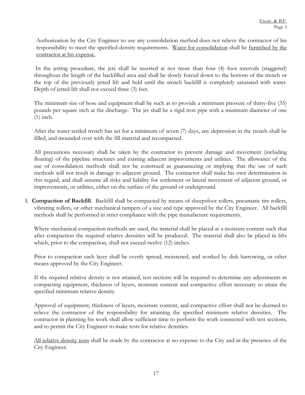Authorization by the City Engineer to use any consolidation method does not relieve the contractor of his responsibility to meet the specified density requirements. Water for consolidation shall be furnished by the contractor at his expense.

 In the jetting procedure, the jets shall be inserted at not more than four (4) foot intervals (staggered) throughout the length of the backfilled area and shall be slowly forced down to the bottom of the trench or the top of the previously jetted lift and held until the trench backfill is completely saturated with water. Depth of jetted lift shall not exceed three (3) feet.

The minimum size of hose and equipment shall be such as to provide a minimum pressure of thirty-five (35) pounds per square inch at the discharge. The jet shall be a rigid iron pipe with a minimum diameter of one (1) inch.

After the water-settled trench has set for a minimum of seven (7) days, any depression in the trench shall be filled, and mounded over with the fill material and recompacted.

All precautions necessary shall be taken by the contractor to prevent damage and movement (including floating) of the pipeline structures and existing adjacent improvements and utilities. The allowance of the use of consolidation methods shall not be construed as guaranteeing or implying that the use of such methods will not result in damage to adjacent ground. The contractor shall make his own determination in this regard, and shall assume all risks and liability for settlement or lateral movement of adjacent ground, or improvements, or utilities, either on the surface of the ground or underground.

I. **Compaction of Backfill**. Backfill shall be compacted by means of sheepsfoot rollers, pneumatic tire rollers, vibrating rollers, or other mechanical tampers of a size and type approved by the City Engineer. All backfill methods shall be performed in strict compliance with the pipe manufacture requirements.

Where mechanical compaction methods are used, the material shall be placed at a moisture content such that after compaction the required relative densities will be produced. The material shall also be placed in lifts which, prior to the compaction, shall not exceed twelve  $(12)$  inches.

Prior to compaction each layer shall be evenly spread, moistened, and worked by disk harrowing, or other means approved by the City Engineer.

If the required relative density is not attained, test sections will be required to determine any adjustments in compacting equipment, thickness of layers, moisture content and compactive effort necessary to attain the specified minimum relative density.

Approval of equipment, thickness of layers, moisture content, and compactive effort shall not be deemed to relieve the contractor of the responsibility for attaining the specified minimum relative densities. The contractor in planning his work shall allow sufficient time to perform the work connected with test sections, and to permit the City Engineer to make tests for relative densities.

All relative density tests shall be made by the contractor at no expense to the City and in the presence of the City Engineer.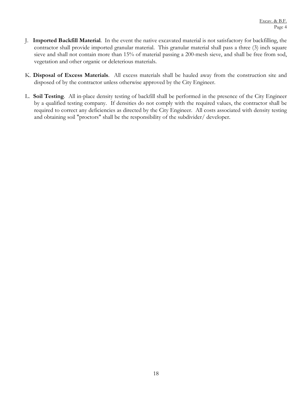- J. **Imported Backfill Material**. In the event the native excavated material is not satisfactory for backfilling, the contractor shall provide imported granular material. This granular material shall pass a three (3) inch square sieve and shall not contain more than 15% of material passing a 200-mesh sieve, and shall be free from sod, vegetation and other organic or deleterious materials.
- K. **Disposal of Excess Materials**. All excess materials shall be hauled away from the construction site and disposed of by the contractor unless otherwise approved by the City Engineer.
- L. **Soil Testing**. All in-place density testing of backfill shall be performed in the presence of the City Engineer by a qualified testing company. If densities do not comply with the required values, the contractor shall be required to correct any deficiencies as directed by the City Engineer. All costs associated with density testing and obtaining soil "proctors" shall be the responsibility of the subdivider/ developer.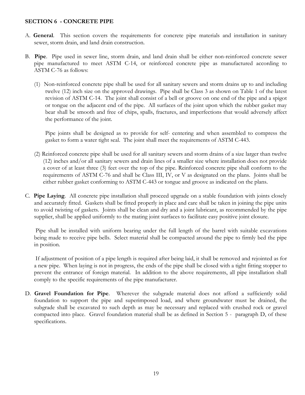#### **SECTION 6 - CONCRETE PIPE**

- A. **General**. This section covers the requirements for concrete pipe materials and installation in sanitary sewer, storm drain, and land drain construction.
- B. **Pipe**. Pipe used in sewer line, storm drain, and land drain shall be either non-reinforced concrete sewer pipe manufactured to meet ASTM C-14, or reinforced concrete pipe as manufactured according to ASTM C-76 as follows:
	- (1) Non-reinforced concrete pipe shall be used for all sanitary sewers and storm drains up to and including twelve (12) inch size on the approved drawings. Pipe shall be Class 3 as shown on Table 1 of the latest revision of ASTM C-14. The joint shall consist of a bell or groove on one end of the pipe and a spigot or tongue on the adjacent end of the pipe. All surfaces of the joint upon which the rubber gasket may bear shall be smooth and free of chips, spalls, fractures, and imperfections that would adversely affect the performance of the joint.

Pipe joints shall be designed as to provide for self- centering and when assembled to compress the gasket to form a water tight seal. The joint shall meet the requirements of ASTM C-443.

- (2) Reinforced concrete pipe shall be used for all sanitary sewers and storm drains of a size larger than twelve (12) inches and/or all sanitary sewers and drain lines of a smaller size where installation does not provide a cover of at least three (3) feet over the top of the pipe. Reinforced concrete pipe shall conform to the requirements of ASTM C-76 and shall be Class III, IV, or V as designated on the plans. Joints shall be either rubber gasket conforming to ASTM C-443 or tongue and groove as indicated on the plans.
- C. **Pipe Laying**. All concrete pipe installation shall proceed upgrade on a stable foundation with joints closely and accurately fitted. Gaskets shall be fitted properly in place and care shall be taken in joining the pipe units to avoid twisting of gaskets. Joints shall be clean and dry and a joint lubricant, as recommended by the pipe supplier, shall be applied uniformly to the mating joint surfaces to facilitate easy positive joint closure.

 Pipe shall be installed with uniform bearing under the full length of the barrel with suitable excavations being made to receive pipe bells. Select material shall be compacted around the pipe to firmly bed the pipe in position.

 If adjustment of position of a pipe length is required after being laid, it shall be removed and rejointed as for a new pipe. When laying is not in progress, the ends of the pipe shall be closed with a tight fitting stopper to prevent the entrance of foreign material. In addition to the above requirements, all pipe installation shall comply to the specific requirements of the pipe manufacturer.

D. **Gravel Foundation for Pipe**. Wherever the subgrade material does not afford a sufficiently solid foundation to support the pipe and superimposed load, and where groundwater must be drained, the subgrade shall be excavated to such depth as may be necessary and replaced with crushed rock or gravel compacted into place. Gravel foundation material shall be as defined in Section 5 - paragraph D, of these specifications.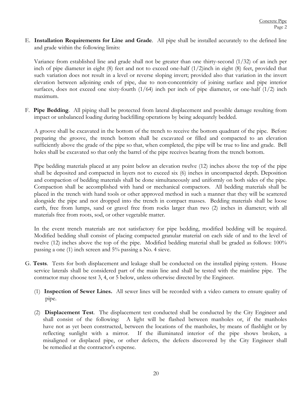E. **Installation Requirements for Line and Grade**. All pipe shall be installed accurately to the defined line and grade within the following limits:

Variance from established line and grade shall not be greater than one thirty-second (1/32) of an inch per inch of pipe diameter in eight (8) feet and not to exceed one-half (1/2)inch in eight (8) feet, provided that such variation does not result in a level or reverse sloping invert; provided also that variation in the invert elevation between adjoining ends of pipe, due to non-concentricity of joining surface and pipe interior surfaces, does not exceed one sixty-fourth  $(1/64)$  inch per inch of pipe diameter, or one-half  $(1/2)$  inch maximum.

F. **Pipe Bedding**. All piping shall be protected from lateral displacement and possible damage resulting from impact or unbalanced loading during backfilling operations by being adequately bedded.

A groove shall be excavated in the bottom of the trench to receive the bottom quadrant of the pipe. Before preparing the groove, the trench bottom shall be excavated or filled and compacted to an elevation sufficiently above the grade of the pipe so that, when completed, the pipe will be true to line and grade. Bell holes shall be excavated so that only the barrel of the pipe receives bearing from the trench bottom.

Pipe bedding materials placed at any point below an elevation twelve (12) inches above the top of the pipe shall be deposited and compacted in layers not to exceed six (6) inches in uncompacted depth. Deposition and compaction of bedding materials shall be done simultaneously and uniformly on both sides of the pipe. Compaction shall be accomplished with hand or mechanical compactors. All bedding materials shall be placed in the trench with hand tools or other approved method in such a manner that they will be scattered alongside the pipe and not dropped into the trench in compact masses. Bedding materials shall be loose earth, free from lumps, sand or gravel free from rocks larger than two (2) inches in diameter; with all materials free from roots, sod, or other vegetable matter.

In the event trench materials are not satisfactory for pipe bedding, modified bedding will be required. Modified bedding shall consist of placing compacted granular material on each side of and to the level of twelve (12) inches above the top of the pipe. Modified bedding material shall be graded as follows: 100% passing a one (1) inch screen and 5% passing a No. 4 sieve.

- G. **Tests**. Tests for both displacement and leakage shall be conducted on the installed piping system. House service laterals shall be considered part of the main line and shall be tested with the mainline pipe. The contractor may choose test 3, 4, or 5 below, unless otherwise directed by the Engineer.
	- (1) **Inspection of Sewer Lines.** All sewer lines will be recorded with a video camera to ensure quality of pipe.
	- (2) **Displacement Test**. The displacement test conducted shall be conducted by the City Engineer and shall consist of the following: A light will be flashed between manholes or, if the manholes have not as yet been constructed, between the locations of the manholes, by means of flashlight or by reflecting sunlight with a mirror. If the illuminated interior of the pipe shows broken, a misaligned or displaced pipe, or other defects, the defects discovered by the City Engineer shall be remedied at the contractor's expense.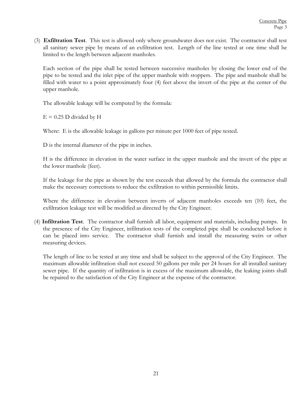(3) **Exfiltration Test**. This test is allowed only where groundwater does not exist. The contractor shall test all sanitary sewer pipe by means of an exfiltration test. Length of the line tested at one time shall be limited to the length between adjacent manholes.

Each section of the pipe shall be tested between successive manholes by closing the lower end of the pipe to be tested and the inlet pipe of the upper manhole with stoppers. The pipe and manhole shall be filled with water to a point approximately four (4) feet above the invert of the pipe at the center of the upper manhole.

The allowable leakage will be computed by the formula:

 $E = 0.25$  D divided by H

Where: E is the allowable leakage in gallons per minute per 1000 feet of pipe tested.

D is the internal diameter of the pipe in inches.

H is the difference in elevation in the water surface in the upper manhole and the invert of the pipe at the lower manhole (feet).

If the leakage for the pipe as shown by the test exceeds that allowed by the formula the contractor shall make the necessary corrections to reduce the exfiltration to within permissible limits.

Where the difference in elevation between inverts of adjacent manholes exceeds ten (10) feet, the exfiltration leakage test will be modified as directed by the City Engineer.

(4) **Infiltration Test**. The contractor shall furnish all labor, equipment and materials, including pumps. In the presence of the City Engineer, infiltration tests of the completed pipe shall be conducted before it can be placed into service. The contractor shall furnish and install the measuring weirs or other measuring devices.

The length of line to be tested at any time and shall be subject to the approval of the City Engineer. The maximum allowable infiltration shall not exceed 50 gallons per mile per 24 hours for all installed sanitary sewer pipe. If the quantity of infiltration is in excess of the maximum allowable, the leaking joints shall be repaired to the satisfaction of the City Engineer at the expense of the contractor.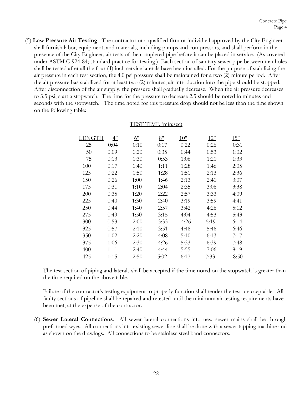(5) **Low Pressure Air Testing**. The contractor or a qualified firm or individual approved by the City Engineer shall furnish labor, equipment, and materials, including pumps and compressors, and shall perform in the presence of the City Engineer, air tests of the completed pipe before it can be placed in service. (As covered under ASTM C-924-84; standard practice for testing.) Each section of sanitary sewer pipe between manholes shall be tested after all the four (4) inch service laterals have been installed. For the purpose of stabilizing the air pressure in each test section, the 4.0 psi pressure shall be maintained for a two (2) minute period. After the air pressure has stabilized for at least two (2) minutes, air introduction into the pipe should be stopped. After disconnection of the air supply, the pressure shall gradually decrease. When the air pressure decreases to 3.5 psi, start a stopwatch. The time for the pressure to decrease 2.5 should be noted in minutes and seconds with the stopwatch. The time noted for this pressure drop should not be less than the time shown on the following table:

| LENGTH | 4"   | 6"   | 8"   | $10$ " | 12"  | 15"  |
|--------|------|------|------|--------|------|------|
| 25     | 0:04 | 0:10 | 0:17 | 0:22   | 0:26 | 0:31 |
| 50     | 0:09 | 0:20 | 0:35 | 0:44   | 0:53 | 1:02 |
| 75     | 0:13 | 0:30 | 0:53 | 1:06   | 1:20 | 1:33 |
| 100    | 0:17 | 0:40 | 1:11 | 1:28   | 1:46 | 2:05 |
| 125    | 0:22 | 0:50 | 1:28 | 1:51   | 2:13 | 2:36 |
| 150    | 0:26 | 1:00 | 1:46 | 2:13   | 2:40 | 3:07 |
| 175    | 0:31 | 1:10 | 2:04 | 2:35   | 3:06 | 3:38 |
| 200    | 0:35 | 1:20 | 2:22 | 2:57   | 3:33 | 4:09 |
| 225    | 0:40 | 1:30 | 2:40 | 3:19   | 3:59 | 4:41 |
| 250    | 0:44 | 1:40 | 2:57 | 3:42   | 4:26 | 5:12 |
| 275    | 0:49 | 1:50 | 3:15 | 4:04   | 4:53 | 5:43 |
| 300    | 0:53 | 2:00 | 3:33 | 4:26   | 5:19 | 6:14 |
| 325    | 0:57 | 2:10 | 3:51 | 4:48   | 5:46 | 6:46 |
| 350    | 1:02 | 2:20 | 4:08 | 5:10   | 6:13 | 7:17 |
| 375    | 1:06 | 2:30 | 4:26 | 5:33   | 6:39 | 7:48 |
| 400    | 1:11 | 2:40 | 4:44 | 5:55   | 7:06 | 8:19 |
| 425    | 1:15 | 2:50 | 5:02 | 6:17   | 7:33 | 8:50 |

#### TEST TIME (min:sec)

The test section of piping and laterals shall be accepted if the time noted on the stopwatch is greater than the time required on the above table.

Failure of the contractor's testing equipment to properly function shall render the test unacceptable. All faulty sections of pipeline shall be repaired and retested until the minimum air testing requirements have been met, at the expense of the contractor.

(6) **Sewer Lateral Connections**. All sewer lateral connections into new sewer mains shall be through preformed wyes. All connections into existing sewer line shall be done with a sewer tapping machine and as shown on the drawings. All connections to be stainless steel band connectors.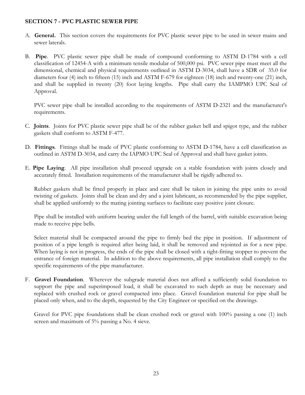#### **SECTION 7 - PVC PLASTIC SEWER PIPE**

- A. **General.** This section covers the requirements for PVC plastic sewer pipe to be used in sewer mains and sewer laterals.
- B. **Pipe**. PVC plastic sewer pipe shall be made of compound conforming to ASTM D-1784 with a cell classification of 12454-A with a minimum tensile modular of 500,000 psi. PVC sewer pipe must meet all the dimensional, chemical and physical requirements outlined in ASTM D-3034, shall have a SDR of 35.0 for diameters four (4) inch to fifteen (15) inch and ASTM F-679 for eighteen (18) inch and twenty-one (21) inch, and shall be supplied in twenty (20) foot laying lengths. Pipe shall carry the IAMPMO UPC Seal of Approval.

PVC sewer pipe shall be installed according to the requirements of ASTM D-2321 and the manufacturer's requirements.

- C. **Joints**. Joints for PVC plastic sewer pipe shall be of the rubber gasket bell and spigot type, and the rubber gaskets shall conform to ASTM F-477.
- D. **Fittings**. Fittings shall be made of PVC plastic conforming to ASTM D-1784, have a cell classification as outlined in ASTM D-3034, and carry the IAPMO UPC Seal of Approval and shall have gasket joints.
- E. **Pipe Laying**. All pipe installation shall proceed upgrade on a stable foundation with joints closely and accurately fitted. Installation requirements of the manufacturer shall be rigidly adhered to.

Rubber gaskets shall be fitted properly in place and care shall be taken in joining the pipe units to avoid twisting of gaskets. Joints shall be clean and dry and a joint lubricant, as recommended by the pipe supplier, shall be applied uniformly to the mating jointing surfaces to facilitate easy positive joint closure.

Pipe shall be installed with uniform bearing under the full length of the barrel, with suitable excavation being made to receive pipe bells.

Select material shall be compacted around the pipe to firmly bed the pipe in position. If adjustment of position of a pipe length is required after being laid, it shall be removed and rejointed as for a new pipe. When laying is not in progress, the ends of the pipe shall be closed with a tight-fitting stopper to prevent the entrance of foreign material. In addition to the above requirements, all pipe installation shall comply to the specific requirements of the pipe manufacturer.

F. **Gravel Foundation**. Wherever the subgrade material does not afford a sufficiently solid foundation to support the pipe and superimposed load, it shall be excavated to such depth as may be necessary and replaced with crushed rock or gravel compacted into place. Gravel foundation material for pipe shall be placed only when, and to the depth, requested by the City Engineer or specified on the drawings.

Gravel for PVC pipe foundations shall be clean crushed rock or gravel with 100% passing a one (1) inch screen and maximum of 5% passing a No. 4 sieve.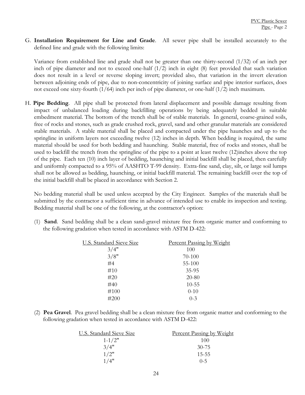G. **Installation Requirement for Line and Grade**. All sewer pipe shall be installed accurately to the defined line and grade with the following limits:

Variance from established line and grade shall not be greater than one thirty-second (1/32) of an inch per inch of pipe diameter and not to exceed one-half (1/2) inch in eight (8) feet provided that such variation does not result in a level or reverse sloping invert; provided also, that variation in the invert elevation between adjoining ends of pipe, due to non-concentricity of joining surface and pipe interior surfaces, does not exceed one sixty-fourth (1/64) inch per inch of pipe diameter, or one-half (1/2) inch maximum.

H. **Pipe Bedding**. All pipe shall be protected from lateral displacement and possible damage resulting from impact of unbalanced loading during backfilling operations by being adequately bedded in suitable embedment material. The bottom of the trench shall be of stable materials. In general, coarse-grained soils, free of rocks and stones, such as grade crushed rock, gravel, sand and other granular materials are considered stable materials. A stable material shall be placed and compacted under the pipe haunches and up to the springline in uniform layers not exceeding twelve (12) inches in depth. When bedding is required, the same material should be used for both bedding and haunching. Stable material, free of rocks and stones, shall be used to backfill the trench from the springline of the pipe to a point at least twelve (12)inches above the top of the pipe. Each ten (10) inch layer of bedding, haunching and initial backfill shall be placed, then carefully and uniformly compacted to a 95% of AASHTO T-99 density. Extra-fine sand, clay, silt, or large soil lumps shall not be allowed as bedding, haunching, or initial backfill material. The remaining backfill over the top of the initial backfill shall be placed in accordance with Section 2.

No bedding material shall be used unless accepted by the City Engineer. Samples of the materials shall be submitted by the contractor a sufficient time in advance of intended use to enable its inspection and testing. Bedding material shall be one of the following, at the contractor's option:

(1) **Sand**. Sand bedding shall be a clean sand-gravel mixture free from organic matter and conforming to the following gradation when tested in accordance with ASTM D-422:

| <b>U.S. Standard Sieve Size</b> | Percent Passing by Weight |
|---------------------------------|---------------------------|
| 3/4"                            | 100                       |
| 3/8"                            | 70-100                    |
| #4                              | $55-100$                  |
| #10                             | $35-95$                   |
| #20                             | $20 - 80$                 |
| #40                             | $10 - 55$                 |
| #100                            | $0 - 10$                  |
| #200                            | $0 - 3$                   |

(2) **Pea Gravel**. Pea gravel bedding shall be a clean mixture free from organic matter and conforming to the following gradation when tested in accordance with ASTM D-422:

| <b>U.S. Standard Sieve Size</b> | Percent Passing by Weight |
|---------------------------------|---------------------------|
| $1 - 1/2"$                      | 100                       |
| 3/4"                            | $30 - 75$                 |
| 1/2"                            | $15 - 55$                 |
| 1/4"                            | $0 - 5$                   |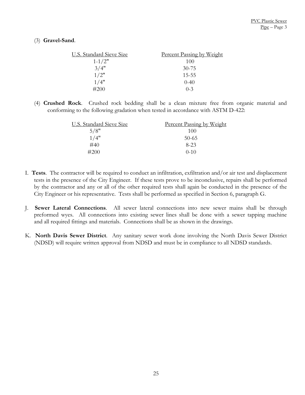#### (3) **Gravel-Sand**.

| <b>U.S. Standard Sieve Size</b> | Percent Passing by Weight |
|---------------------------------|---------------------------|
| $1 - 1/2"$                      | 100                       |
| 3/4"                            | $30 - 75$                 |
| 1/2"                            | $15 - 55$                 |
| 1/4"                            | $0-40$                    |
| #200                            | $0 - 3$                   |

(4) **Crushed Rock**. Crushed rock bedding shall be a clean mixture free from organic material and conforming to the following gradation when tested in accordance with ASTM D-422:

| U.S. Standard Sieve Size | Percent Passing by Weight |
|--------------------------|---------------------------|
| 5/8"                     | 100                       |
| 1/4"                     | $50-65$                   |
| #40                      | $8 - 23$                  |
| #200                     | $() - 1()$                |

- I. **Tests**. The contractor will be required to conduct an infiltration, exfiltration and/or air test and displacement tests in the presence of the City Engineer. If these tests prove to be inconclusive, repairs shall be performed by the contractor and any or all of the other required tests shall again be conducted in the presence of the City Engineer or his representative. Tests shall be performed as specified in Section 6, paragraph G.
- J. **Sewer Lateral Connections**. All sewer lateral connections into new sewer mains shall be through preformed wyes. All connections into existing sewer lines shall be done with a sewer tapping machine and all required fittings and materials. Connections shall be as shown in the drawings.
- K. **North Davis Sewer District**. Any sanitary sewer work done involving the North Davis Sewer District (NDSD) will require written approval from NDSD and must be in compliance to all NDSD standards.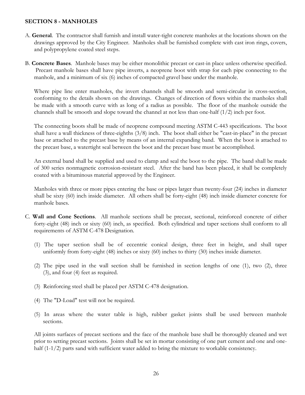#### **SECTION 8 - MANHOLES**

- A. **General**. The contractor shall furnish and install water-tight concrete manholes at the locations shown on the drawings approved by the City Engineer. Manholes shall be furnished complete with cast iron rings, covers, and polypropylene coated steel steps.
- B. **Concrete Bases**. Manhole bases may be either monolithic precast or cast-in place unless otherwise specified. Precast manhole bases shall have pipe inverts, a neoprene boot with strap for each pipe connecting to the manhole, and a minimum of six (6) inches of compacted gravel base under the manhole.

Where pipe line enter manholes, the invert channels shall be smooth and semi-circular in cross-section, conforming to the details shown on the drawings. Changes of direction of flows within the manholes shall be made with a smooth curve with as long of a radius as possible. The floor of the manhole outside the channels shall be smooth and slope toward the channel at not less than one-half (1/2) inch per foot.

The connecting boots shall be made of neoprene compound meeting ASTM C-443 specifications. The boot shall have a wall thickness of three-eighths (3/8) inch. The boot shall either be "cast-in-place" in the precast base or attached to the precast base by means of an internal expanding band. When the boot is attached to the precast base, a watertight seal between the boot and the precast base must be accomplished.

An external band shall be supplied and used to clamp and seal the boot to the pipe. The band shall be made of 300 series nonmagnetic corrosion-resistant steel. After the band has been placed, it shall be completely coated with a bituminous material approved by the Engineer.

Manholes with three or more pipes entering the base or pipes larger than twenty-four (24) inches in diameter shall be sixty (60) inch inside diameter. All others shall be forty-eight (48) inch inside diameter concrete for manhole bases.

- C. **Wall and Cone Sections**. All manhole sections shall be precast, sectional, reinforced concrete of either forty-eight (48) inch or sixty (60) inch, as specified. Both cylindrical and taper sections shall conform to all requirements of ASTM C-478 Designation.
	- (1) The taper section shall be of eccentric conical design, three feet in height, and shall taper uniformly from forty-eight (48) inches or sixty (60) inches to thirty (30) inches inside diameter.
	- (2) The pipe used in the wall section shall be furnished in section lengths of one (1), two (2), three (3), and four (4) feet as required.
	- (3) Reinforcing steel shall be placed per ASTM C-478 designation.
	- (4) The "D-Load" test will not be required.
	- (5) In areas where the water table is high, rubber gasket joints shall be used between manhole sections.

All joints surfaces of precast sections and the face of the manhole base shall be thoroughly cleaned and wet prior to setting precast sections. Joints shall be set in mortar consisting of one part cement and one and onehalf (1-1/2) parts sand with sufficient water added to bring the mixture to workable consistency.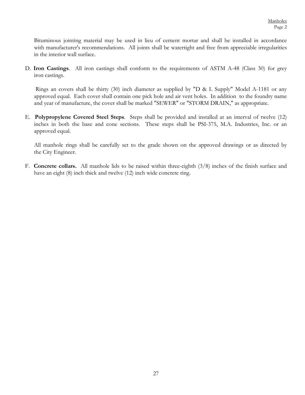Bituminous jointing material may be used in lieu of cement mortar and shall be installed in accordance with manufacturer's recommendations. All joints shall be watertight and free from appreciable irregularities in the interior wall surface.

D. **Iron Castings**. All iron castings shall conform to the requirements of ASTM A-48 (Class 30) for grey iron castings.

 Rings an covers shall be thirty (30) inch diameter as supplied by "D & L Supply" Model A-1181 or any approved equal. Each cover shall contain one pick hole and air vent holes. In addition to the foundry name and year of manufacture, the cover shall be marked "SEWER" or "STORM DRAIN," as appropriate.

E. **Polypropylene Covered Steel Steps**. Steps shall be provided and installed at an interval of twelve (12) inches in both the base and cone sections. These steps shall be PSI-375, M.A. Industries, Inc. or an approved equal.

All manhole rings shall be carefully set to the grade shown on the approved drawings or as directed by the City Engineer.

F. **Concrete collars.** All manhole lids to be raised within three-eighth (3/8) inches of the finish surface and have an eight (8) inch thick and twelve (12) inch wide concrete ring.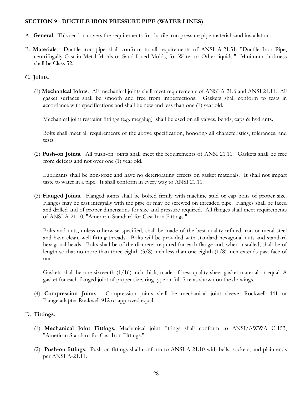#### **SECTION 9 - DUCTILE IRON PRESSURE PIPE (WATER LINES)**

- A. **General**. This section covers the requirements for ductile iron pressure pipe material sand installation.
- B. **Materials**. Ductile iron pipe shall conform to all requirements of ANSI A-21.51, "Ductile Iron Pipe, centrifugally Cast in Metal Molds or Sand Lined Molds, for Water or Other liquids." Minimum thickness shall be Class 52.

#### C. **Joints**.

(1) **Mechanical Joints**. All mechanical joints shall meet requirements of ANSI A-21.6 and ANSI 21.11. All gasket surfaces shall be smooth and free from imperfections. Gaskets shall conform to tests in accordance with specifications and shall be new and less than one (1) year old.

Mechanical joint restraint fittings (e.g. megalug) shall be used on all valves, bends, caps & hydrants.

Bolts shall meet all requirements of the above specification, honoring all characteristics, tolerances, and tests.

(2) **Push-on Joints**. All push-on joints shall meet the requirements of ANSI 21.11. Gaskets shall be free from defects and not over one (1) year old.

Lubricants shall be non-toxic and have no deteriorating effects on gasket materials. It shall not impart taste to water in a pipe. It shall conform in every way to ANSI 21.11.

(3) **Flanged Joints**. Flanged joints shall be bolted firmly with machine stud or cap bolts of proper size. Flanges may be cast integrally with the pipe or may be screwed on threaded pipe. Flanges shall be faced and drilled and of proper dimensions for size and pressure required. All flanges shall meet requirements of ANSI A-21.10, "American Standard for Cast Iron Fittings."

Bolts and nuts, unless otherwise specified, shall be made of the best quality refined iron or metal steel and have clean, well-fitting threads. Bolts will be provided with standard hexagonal nuts and standard hexagonal heads. Bolts shall be of the diameter required for each flange and, when installed, shall be of length so that no more than three-eighth  $(3/8)$  inch less than one-eighth  $(1/8)$  inch extends past face of nut.

Gaskets shall be one-sixteenth (1/16) inch thick, made of best quality sheet gasket material or equal. A gasket for each flanged joint of proper size, ring type or full face as shown on the drawings.

(4) **Compression Joints**. Compression joints shall be mechanical joint sleeve, Rockwell 441 or Flange adapter Rockwell 912 or approved equal.

#### D. **Fittings**.

- (1) **Mechanical Joint Fittings**. Mechanical joint fittings shall conform to ANSI/AWWA C-153, "American Standard for Cast Iron Fittings."
- (2) **Push-on fittings**. Push-on fittings shall conform to ANSI A 21.10 with bells, sockets, and plain ends per ANSI A-21.11.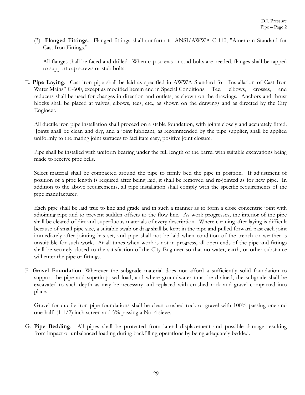(3) **Flanged Fittings**. Flanged fittings shall conform to ANSI/AWWA C-110, "American Standard for Cast Iron Fittings."

All flanges shall be faced and drilled. When cap screws or stud bolts are needed, flanges shall be tapped to support cap screws or stub bolts.

E. **Pipe Laying**. Cast iron pipe shall be laid as specified in AWWA Standard for "Installation of Cast Iron Water Mains" C-600, except as modified herein and in Special Conditions. Tee, elbows, crosses, and reducers shall be used for changes in direction and outlets, as shown on the drawings. Anchors and thrust blocks shall be placed at valves, elbows, tees, etc., as shown on the drawings and as directed by the City Engineer.

All ductile iron pipe installation shall proceed on a stable foundation, with joints closely and accurately fitted. Joints shall be clean and dry, and a joint lubricant, as recommended by the pipe supplier, shall be applied uniformly to the mating joint surfaces to facilitate easy, positive joint closure.

Pipe shall be installed with uniform bearing under the full length of the barrel with suitable excavations being made to receive pipe bells.

Select material shall be compacted around the pipe to firmly bed the pipe in position. If adjustment of position of a pipe length is required after being laid, it shall be removed and re-jointed as for new pipe. In addition to the above requirements, all pipe installation shall comply with the specific requirements of the pipe manufacturer.

Each pipe shall be laid true to line and grade and in such a manner as to form a close concentric joint with adjoining pipe and to prevent sudden offsets to the flow line. As work progresses, the interior of the pipe shall be cleared of dirt and superfluous materials of every description. Where cleaning after laying is difficult because of small pipe size, a suitable swab or drag shall be kept in the pipe and pulled forward past each joint immediately after jointing has set, and pipe shall not be laid when condition of the trench or weather is unsuitable for such work. At all times when work is not in progress, all open ends of the pipe and fittings shall be securely closed to the satisfaction of the City Engineer so that no water, earth, or other substance will enter the pipe or fittings.

F. **Gravel Foundation**. Wherever the subgrade material does not afford a sufficiently solid foundation to support the pipe and superimposed load, and where groundwater must be drained, the subgrade shall be excavated to such depth as may be necessary and replaced with crushed rock and gravel compacted into place.

Gravel for ductile iron pipe foundations shall be clean crushed rock or gravel with 100% passing one and one-half  $(1-1/2)$  inch screen and 5% passing a No. 4 sieve.

G. **Pipe Bedding**. All pipes shall be protected from lateral displacement and possible damage resulting from impact or unbalanced loading during backfilling operations by being adequately bedded.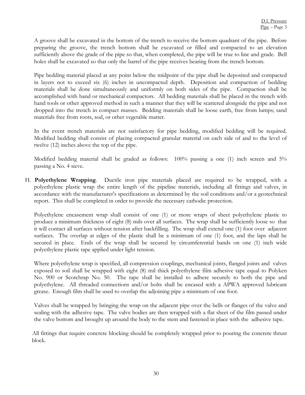A groove shall be excavated in the bottom of the trench to receive the bottom quadrant of the pipe. Before preparing the groove, the trench bottom shall be excavated or filled and compacted to an elevation sufficiently above the grade of the pipe so that, when completed, the pipe will be true to line and grade. Bell holes shall be excavated so that only the barrel of the pipe receives bearing from the trench bottom.

Pipe bedding material placed at any point below the midpoint of the pipe shall be deposited and compacted in layers not to exceed six (6) inches in uncompacted depth. Deposition and compaction of bedding materials shall be done simultaneously and uniformly on both sides of the pipe. Compaction shall be accomplished with hand or mechanical compactors. All bedding materials shall be placed in the trench with hand tools or other approved method in such a manner that they will be scattered alongside the pipe and not dropped into the trench in compact masses. Bedding materials shall be loose earth, free from lumps; sand materials free from roots, sod, or other vegetable matter.

In the event trench materials are not satisfactory for pipe bedding, modified bedding will be required. Modified bedding shall consist of placing compacted granular material on each side of and to the level of twelve (12) inches above the top of the pipe.

Modified bedding material shall be graded as follows: 100% passing a one (1) inch screen and 5% passing a No. 4 sieve.

H. **Polyethylene Wrapping**. Ductile iron pipe materials placed are required to be wrapped, with a polyethylene plastic wrap the entire length of the pipeline materials, including all fittings and valves, in accordance with the manufacturer's specifications as determined by the soil conditions and/or a geotechnical report. This shall be completed in order to provide the necessary cathodic protection.

Polyethylene encasement wrap shall consist of one (1) or more wraps of sheet polyethylene plastic to produce a minimum thickness of eight (8) mils over all surfaces. The wrap shall be sufficiently loose so that it will contact all surfaces without tension after backfilling. The wrap shall extend one (1) foot over adjacent surfaces. The overlap at edges of the plastic shall be a minimum of one (1) foot, and the laps shall be secured in place. Ends of the wrap shall be secured by circumferential bands on one (1) inch wide polyethylene plastic tape applied under light tension.

Where polyethylene wrap is specified, all compression couplings, mechanical joints, flanged joints and valves exposed to soil shall be wrapped with eight (8) mil thick polyethylene film adhesive tape equal to Polyken No. 900 or Scotchrap No. 50. The tape shall be installed to adhere securely to both the pipe and polyethylene. All threaded connections and/or bolts shall be encased with a APWA approved lubricant grease. Enough film shall be used to overlap the adjoining pipe a minimum of one foot.

Valves shall be wrapped by bringing the wrap on the adjacent pipe over the bells or flanges of the valve and sealing with the adhesive tape. The valve bodies are then wrapped with a flat sheet of the film passed under the valve bottom and brought up around the body to the stem and fastened in place with the adhesive tape.

All fittings that require concrete blocking should be completely wrapped prior to pouring the concrete thrust block.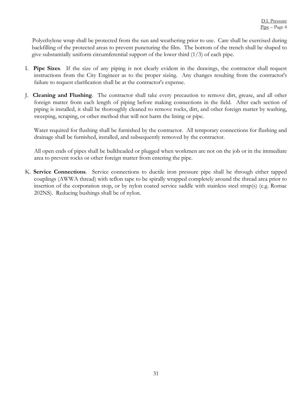Polyethylene wrap shall be protected from the sun and weathering prior to use. Care shall be exercised during backfilling of the protected areas to prevent puncturing the film. The bottom of the trench shall be shaped to give substantially uniform circumferential support of the lower third  $(1/3)$  of each pipe.

- I. **Pipe Sizes**. If the size of any piping is not clearly evident in the drawings, the contractor shall request instructions from the City Engineer as to the proper sizing. Any changes resulting from the contractor's failure to request clarification shall be at the contractor's expense.
- J. **Cleaning and Flushing**. The contractor shall take every precaution to remove dirt, grease, and all other foreign matter from each length of piping before making connections in the field. After each section of piping is installed, it shall be thoroughly cleaned to remove rocks, dirt, and other foreign matter by washing, sweeping, scraping, or other method that will not harm the lining or pipe.

Water required for flushing shall be furnished by the contractor. All temporary connections for flushing and drainage shall be furnished, installed, and subsequently removed by the contractor.

All open ends of pipes shall be bulkheaded or plugged when workmen are not on the job or in the immediate area to prevent rocks or other foreign matter from entering the pipe.

K. **Service Connections**. Service connections to ductile iron pressure pipe shall be through either tapped couplings (AWWA thread) with teflon tape to be spirally wrapped completely around the thread area prior to insertion of the corporation stop, or by nylon coated service saddle with stainless steel strap(s) (e.g. Romac 202NS). Reducing bushings shall be of nylon.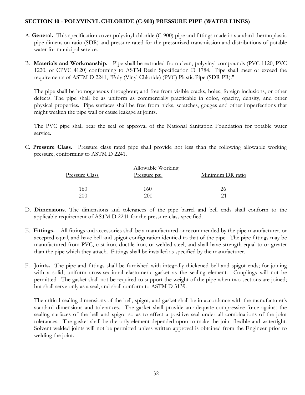#### **SECTION 10 - POLYVINYL CHLORIDE (C-900) PRESSURE PIPE (WATER LINES)**

- A. **General.** This specification cover polyvinyl chloride (C-900) pipe and fittings made in standard thermoplastic pipe dimension ratio (SDR) and pressure rated for the pressurized transmission and distributions of potable water for municipal service.
- B. **Materials and Workmanship.** Pipe shall be extruded from clean, polyvinyl compounds (PVC 1120, PVC 1220, or CPVC 4120) conforming to ASTM Resin Specification D 1784. Pipe shall meet or exceed the requirements of ASTM D 2241, "Poly (Vinyl Chloride) (PVC) Plastic Pipe (SDR-PR)."

The pipe shall be homogeneous throughout; and free from visible cracks, holes, foreign inclusions, or other defects. The pipe shall be as uniform as commercially practicable in color, opacity, density, and other physical properties. Pipe surfaces shall be free from nicks, scratches, gouges and other imperfections that might weaken the pipe wall or cause leakage at joints.

The PVC pipe shall bear the seal of approval of the National Sanitation Foundation for potable water service.

C. **Pressure Class.** Pressure class rated pipe shall provide not less than the following allowable working pressure, conforming to ASTM D 2241.

|                       | Allowable Working   |                  |  |
|-----------------------|---------------------|------------------|--|
| <u>Pressure Class</u> | <u>Pressure psi</u> | Minimum DR ratio |  |
| 160                   | 160                 | 26               |  |
| 200                   | 200                 |                  |  |

- D. **Dimensions.** The dimensions and tolerances of the pipe barrel and bell ends shall conform to the applicable requirement of ASTM D 2241 for the pressure-class specified.
- E. **Fittings.** All fittings and accessories shall be a manufactured or recommended by the pipe manufacturer, or accepted equal, and have bell and spigot configuration identical to that of the pipe. The pipe fittings may be manufactured from PVC, cast iron, ductile iron, or welded steel, and shall have strength equal to or greater than the pipe which they attach. Fittings shall be installed as specified by the manufacturer.
- F. **Joints.** The pipe and fittings shall be furnished with integrally thickened bell and spigot ends; for joining with a solid, uniform cross-sectional elastomeric gasket as the sealing element. Couplings will not be permitted. The gasket shall not be required to support the weight of the pipe when two sections are joined; but shall serve only as a seal, and shall conform to ASTM D 3139.

The critical sealing dimensions of the bell, spigot, and gasket shall be in accordance with the manufacturer's standard dimensions and tolerances. The gasket shall provide an adequate compressive force against the sealing surfaces of the bell and spigot so as to effect a positive seal under all combinations of the joint tolerances. The gasket shall be the only element depended upon to make the joint flexible and watertight. Solvent welded joints will not be permitted unless written approval is obtained from the Engineer prior to welding the joint.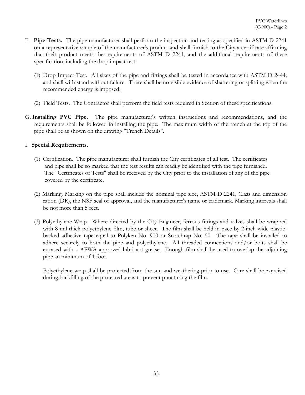- F. **Pipe Tests.** The pipe manufacturer shall perform the inspection and testing as specified in ASTM D 2241 on a representative sample of the manufacturer's product and shall furnish to the City a certificate affirming that their product meets the requirements of ASTM D 2241, and the additional requirements of these specification, including the drop impact test.
	- (1) Drop Impact Test. All sizes of the pipe and fittings shall be tested in accordance with ASTM D 2444; and shall with stand without failure. There shall be no visible evidence of shattering or splitting when the recommended energy is imposed.
	- (2) Field Tests. The Contractor shall perform the field tests required in Section of these specifications.
- G. **Installing PVC Pipe.** The pipe manufacturer's written instructions and recommendations, and the requirements shall be followed in installing the pipe. The maximum width of the trench at the top of the pipe shall be as shown on the drawing "Trench Details".

#### I. **Special Requirements.**

- (1) Certification. The pipe manufacturer shall furnish the City certificates of all test. The certificates and pipe shall be so marked that the test results can readily be identified with the pipe furnished. The "Certificates of Tests" shall be received by the City prior to the installation of any of the pipe covered by the certificate.
- (2) Marking. Marking on the pipe shall include the nominal pipe size, ASTM D 2241, Class and dimension ration (DR), the NSF seal of approval, and the manufacturer's name or trademark. Marking intervals shall be not more than 5 feet.
- (3) Polyethylene Wrap. Where directed by the City Engineer, ferrous fittings and valves shall be wrapped with 8-mil thick polyethylene film, tube or sheet. The film shall be held in pace by 2-inch wide plasticbacked adhesive tape equal to Polyken No. 900 or Scotchrap No. 50. The tape shall be installed to adhere securely to both the pipe and polyethylene. All threaded connections and/or bolts shall be encased with a APWA approved lubricant grease. Enough film shall be used to overlap the adjoining pipe an minimum of 1 foot.

Polyethylene wrap shall be protected from the sun and weathering prior to use. Care shall be exercised during backfilling of the protected areas to prevent puncturing the film.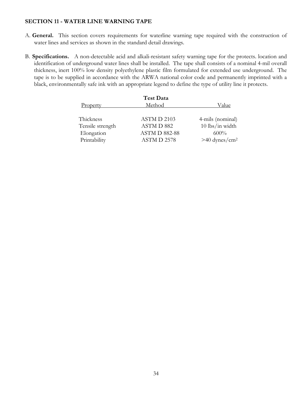#### **SECTION 11 - WATER LINE WARNING TAPE**

- A. **General.** This section covers requirements for waterline warning tape required with the construction of water lines and services as shown in the standard detail drawings.
- B. **Specifications.** A non-detectable acid and alkali-resistant safety warning tape for the protects. location and identification of underground water lines shall be installed. The tape shall consists of a nominal 4-mil overall thickness, inert 100% low density polyethylene plastic film formulated for extended use underground. The tape is to be supplied in accordance with the ARWA national color code and permanently imprinted with a black, environmentally safe ink with an appropriate legend to define the type of utility line it protects.

| <b>Test Data</b>     |                             |  |
|----------------------|-----------------------------|--|
| Method               | Value                       |  |
| ASTM D 2103          | 4-mils (nominal)            |  |
| ASTM D 882           | $10$ lbs/in width           |  |
| <b>ASTM D 882-88</b> | 600%                        |  |
| ASTM D 2578          | $>40$ dynes/cm <sup>2</sup> |  |
|                      |                             |  |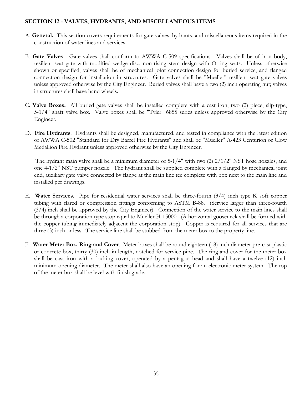#### **SECTION 12 - VALVES, HYDRANTS, AND MISCELLANEOUS ITEMS**

- A. **General.** This section covers requirements for gate valves, hydrants, and miscellaneous items required in the construction of water lines and services.
- B. **Gate Valves**. Gate valves shall conform to AWWA C-509 specifications. Valves shall be of iron body, resilient seat gate with modified wedge disc, non-rising stem design with O-ring seats. Unless otherwise shown or specified, valves shall be of mechanical joint connection design for buried service, and flanged connection design for installation in structures. Gate valves shall be "Mueller" resilient seat gate valves unless approved otherwise by the City Engineer. Buried valves shall have a two (2) inch operating nut; valves in structures shall have hand wheels.
- C. **Valve Boxes.** All buried gate valves shall be installed complete with a cast iron, two (2) piece, slip-type, 5-1/4" shaft valve box. Valve boxes shall be "Tyler" 6855 series unless approved otherwise by the City Engineer.
- D. **Fire Hydrants**. Hydrants shall be designed, manufactured, and tested in compliance with the latest edition of AWWA C-502 "Standard for Dry Barrel Fire Hydrants" and shall be "Mueller" A-423 Centurion or Clow Medallion Fire Hydrant unless approved otherwise by the City Engineer.

 The hydrant main valve shall be a minimum diameter of 5-1/4" with two (2) 2/1/2" NST hose nozzles, and one 4-1/2" NST pumper nozzle. The hydrant shall be supplied complete with a flanged by mechanical joint end, auxiliary gate valve connected by flange at the main line tee complete with box next to the main line and installed per drawings.

- E. **Water Services**. Pipe for residential water services shall be three-fourth (3/4) inch type K soft copper tubing with flared or compression fittings conforming to ASTM B-88. (Service larger than three-fourth (3/4) inch shall be approved by the City Engineer). Connection of the water service to the main lines shall be through a corporation type stop equal to Mueller H-15000. (A horizontal gooseneck shall be formed with the copper tubing immediately adjacent the corporation stop). Copper is required for all services that are three (3) inch or less. The service line shall be stubbed from the meter box to the property line.
- F. **Water Meter Box, Ring and Cover**. Meter boxes shall be round eighteen (18) inch diameter pre-cast plastic or concrete box, thirty (30) inch in length, notched for service pipe. The ring and cover for the meter box shall be cast iron with a locking cover, operated by a pentagon head and shall have a twelve (12) inch minimum opening diameter. The meter shall also have an opening for an electronic meter system. The top of the meter box shall be level with finish grade.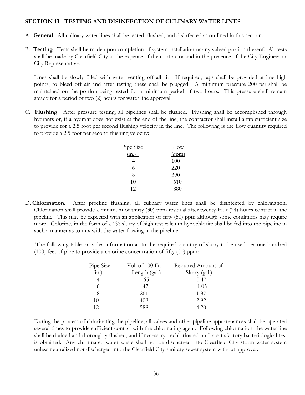#### **SECTION 13 - TESTING AND DISINFECTION OF CULINARY WATER LINES**

- A. **General**. All culinary water lines shall be tested, flushed, and disinfected as outlined in this section.
- B. **Testing**. Tests shall be made upon completion of system installation or any valved portion thereof. All tests shall be made by Clearfield City at the expense of the contractor and in the presence of the City Engineer or City Representative.

 Lines shall be slowly filled with water venting off all air. If required, taps shall be provided at line high points, to bleed off air and after testing these shall be plugged. A minimum pressure 200 psi shall be maintained on the portion being tested for a minimum period of two hours. This pressure shall remain steady for a period of two (2) hours for water line approval.

C. **Flushing**. After pressure testing, all pipelines shall be flushed. Flushing shall be accomplished through hydrants or, if a hydrant does not exist at the end of the line, the contractor shall install a tap sufficient size to provide for a 2.5 foot per second flushing velocity in the line. The following is the flow quantity required to provide a 2.5 foot per second flushing velocity:

| Pipe Size | Flow  |
|-----------|-------|
| (in.)     | (gpm) |
|           | 100   |
| 6         | 220   |
| 8         | 390   |
| 10        | 610   |
| 12        | 880   |

D. **Chlorination**. After pipeline flushing, all culinary water lines shall be disinfected by chlorination. Chlorination shall provide a minimum of thirty (30) ppm residual after twenty-four (24) hours contact in the pipeline. This may be expected with an application of fifty (50) ppm although some conditions may require more. Chlorine, in the form of a 1% slurry of high test calcium hypochlorite shall be fed into the pipeline in such a manner as to mix with the water flowing in the pipeline.

 The following table provides information as to the required quantity of slurry to be used per one-hundred (100) feet of pipe to provide a chlorine concentration of fifty (50) ppm:

| Pipe Size | Vol. of 100 Ft. | Required Amount of |
|-----------|-----------------|--------------------|
| (in.)     | Length (gal.)   | Slurry (gal.)      |
|           | 65              | 0.47               |
|           | 147             | 1.05               |
| 8         | 261             | 1.87               |
| 10        | 408             | 2.92               |
| 12        | 588             | 4.20               |

During the process of chlorinating the pipeline, all valves and other pipeline appurtenances shall be operated several times to provide sufficient contact with the chlorinating agent. Following chlorination, the water line shall be drained and thoroughly flushed, and if necessary, rechlorinated until a satisfactory bacteriological test is obtained. Any chlorinated water waste shall not be discharged into Clearfield City storm water system unless neutralized nor discharged into the Clearfield City sanitary sewer system without approval.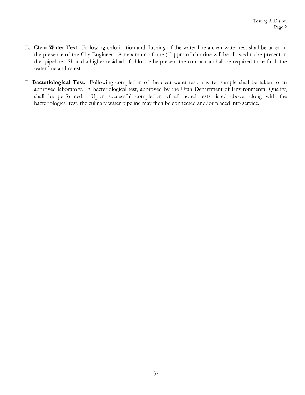- E. **Clear Water Test**. Following chlorination and flushing of the water line a clear water test shall be taken in the presence of the City Engineer. A maximum of one (1) ppm of chlorine will be allowed to be present in the pipeline. Should a higher residual of chlorine be present the contractor shall be required to re-flush the water line and retest.
- F. **Bacteriological Test**. Following completion of the clear water test, a water sample shall be taken to an approved laboratory. A bacteriological test, approved by the Utah Department of Environmental Quality, shall be performed. Upon successful completion of all noted tests listed above, along with the bacteriological test, the culinary water pipeline may then be connected and/or placed into service.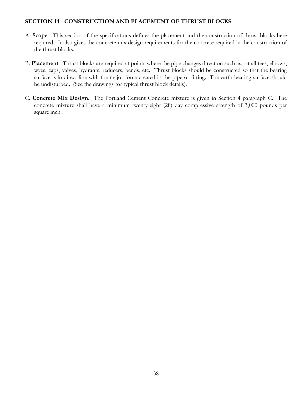#### **SECTION 14 - CONSTRUCTION AND PLACEMENT OF THRUST BLOCKS**

- A. **Scope**. This section of the specifications defines the placement and the construction of thrust blocks here required. It also gives the concrete mix design requirements for the concrete required in the construction of the thrust blocks.
- B. **Placement**. Thrust blocks are required at points where the pipe changes direction such as: at all tees, elbows, wyes, caps, valves, hydrants, reducers, bends, etc. Thrust blocks should be constructed so that the bearing surface is in direct line with the major force created in the pipe or fitting. The earth bearing surface should be undisturbed. (See the drawings for typical thrust block details).
- C. **Concrete Mix Design**. The Portland Cement Concrete mixture is given in Section 4 paragraph C. The concrete mixture shall have a minimum twenty-eight (28) day compressive strength of 3,000 pounds per square inch.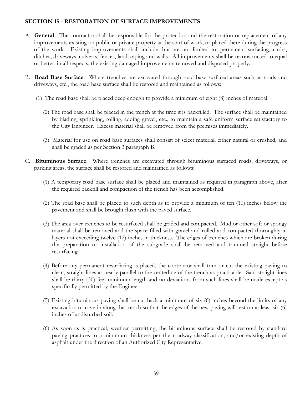#### **SECTION 15 - RESTORATION OF SURFACE IMPROVEMENTS**

- A. **General**. The contractor shall be responsible for the protection and the restoration or replacement of any improvements existing on public or private property at the start of work, or placed there during the progress of the work. Existing improvements shall include, but are not limited to, permanent surfacing, curbs, ditches, driveways, culverts, fences, landscaping and walls. All improvements shall be reconstructed to equal or better, in all respects, the existing damaged improvements removed and disposed properly.
- B. **Road Base Surface**. Where trenches are excavated through road base surfaced areas such as roads and driveways, etc., the road base surface shall be restored and maintained as follows:
	- (1) The road base shall be placed deep enough to provide a minimum of eight (8) inches of material.
		- (2) The road base shall be placed in the trench at the time it is backfilled. The surface shall be maintained by blading, sprinkling, rolling, adding gravel, etc., to maintain a safe uniform surface satisfactory to the City Engineer. Excess material shall be removed from the premises immediately.
		- (3) Material for use on road base surfaces shall consist of select material, either natural or crushed, and shall be graded as per Section 3 paragraph B.
- C. **Bituminous Surface**. Where trenches are excavated through bituminous surfaced roads, driveways, or parking areas, the surface shall be restored and maintained as follows:
	- (1) A temporary road base surface shall be placed and maintained as required in paragraph above, after the required backfill and compaction of the trench has been accomplished.
	- (2) The road base shall be placed to such depth as to provide a minimum of ten (10) inches below the pavement and shall be brought flush with the paved surface.
	- (3) The area over trenches to be resurfaced shall be graded and compacted. Mud or other soft or spongy material shall be removed and the space filled with gravel and rolled and compacted thoroughly in layers not exceeding twelve (12) inches in thickness. The edges of trenches which are broken during the preparation or installation of the subgrade shall be removed and trimmed straight before resurfacing.
	- (4) Before any permanent resurfacing is placed, the contractor shall trim or cut the existing paving to clean, straight lines as nearly parallel to the centerline of the trench as practicable. Said straight lines shall be thirty (30) feet minimum length and no deviations from such lines shall be made except as specifically permitted by the Engineer.
	- (5) Existing bituminous paving shall be cut back a minimum of six (6) inches beyond the limits of any excavation or cave-in along the trench so that the edges of the new paving will rest on at least six (6) inches of undisturbed soil.
	- (6) As soon as is practical, weather permitting, the bituminous surface shall be restored by standard paving practices to a minimum thickness per the roadway classification, and/or existing depth of asphalt under the direction of an Authorized City Representative.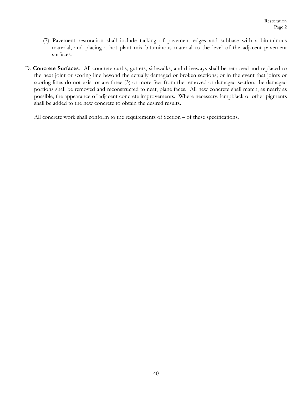- (7) Pavement restoration shall include tacking of pavement edges and subbase with a bituminous material, and placing a hot plant mix bituminous material to the level of the adjacent pavement surfaces.
- D. **Concrete Surfaces**. All concrete curbs, gutters, sidewalks, and driveways shall be removed and replaced to the next joint or scoring line beyond the actually damaged or broken sections; or in the event that joints or scoring lines do not exist or are three (3) or more feet from the removed or damaged section, the damaged portions shall be removed and reconstructed to neat, plane faces. All new concrete shall match, as nearly as possible, the appearance of adjacent concrete improvements. Where necessary, lampblack or other pigments shall be added to the new concrete to obtain the desired results.

All concrete work shall conform to the requirements of Section 4 of these specifications.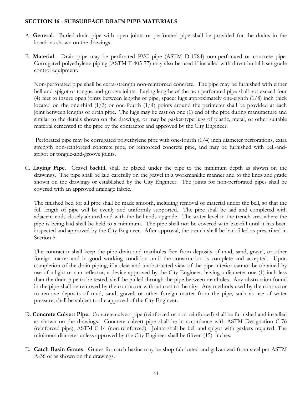#### **SECTION 16 - SUBSURFACE DRAIN PIPE MATERIALS**

- A. **General**. Buried drain pipe with open joints or perforated pipe shall be provided for the drains in the locations shown on the drawings.
- B. **Material**. Drain pipe may be perforated PVC pipe (ASTM D-1784) non-perforated or concrete pipe. Corrugated polyethylene piping (ASTM F-405-77) may also be used if installed with direct burial laser grade control equipment.

Non-perforated pipe shall be extra-strength non-reinforced concrete. The pipe may be furnished with either bell-and-spigot or tongue-and-groove joints. Laying lengths of the non-perforated pipe shall not exceed four (4) feet to insure open joints between lengths of pipe, spacer lugs approximately one-eighth (1/8) inch thick located on the one-third  $(1/3)$  or one-fourth  $(1/4)$  points around the perimeter shall be provided at each joint between lengths of drain pipe. The lugs may be cast on one (1) end of the pipe during manufacture and similar to the details shown on the drawings, or may be gasket-type lugs of plastic, metal, or other suitable material cemented to the pipe by the contractor and approved by the City Engineer.

 Perforated pipe may be corrugated polyethylene pipe with one-fourth (1/4) inch diameter perforations, extra strength non-reinforced concrete pipe, or reinforced concrete pipe, and may be furnished with bell-andspigot or tongue-and-groove joints.

C. **Laying Pipe**. Gravel backfill shall be placed under the pipe to the minimum depth as shown on the drawings. The pipe shall be laid carefully on the gravel in a workmanlike manner and to the lines and grade shown on the drawings or established by the City Engineer. The joints for non-perforated pipes shall be covered with an approved drainage fabric.

The finished bed for all pipe shall be made smooth, including removal of material under the bell, so that the full length of pipe will be evenly and uniformly supported. The pipe shall be laid and completed with adjacent ends closely abutted and with the bell ends upgrade. The water level in the trench area where the pipe is being laid shall be held to a minimum. The pipe shall not be covered with backfill until it has been inspected and approved by the City Engineer. After approval, the trench shall be backfilled as prescribed in Section 5.

The contractor shall keep the pipe drain and manholes free from deposits of mud, sand, gravel, or other foreign matter and in good working condition until the construction is complete and accepted. Upon completion of the drain piping, if a clear and unobstructed view of the pipe interior cannot be obtained by use of a light or sun reflector, a device approved by the City Engineer, having a diameter one (1) inch less than the drain pipe to be tested, shall be pulled through the pipe between manholes. Any obstruction found in the pipe shall be removed by the contractor without cost to the city. Any methods used by the contractor to remove deposits of mud, sand, gravel, or other foreign matter from the pipe, such as use of water pressure, shall be subject to the approval of the City Engineer.

- D. **Concrete Culvert Pipe**. Concrete culvert pipe (reinforced or non-reinforced) shall be furnished and installed as shown on the drawings. Concrete culvert pipe shall be in accordance with ASTM Designation C-76 (reinforced pipe), ASTM C-14 (non-reinforced). Joints shall be bell-and-spigot with gaskets required. The minimum diameter unless approved by the City Engineer shall be fifteen (15) inches.
- E. **Catch Basin Grates**. Grates for catch basins may be shop fabricated and galvanized from steel per ASTM A-36 or as shown on the drawings.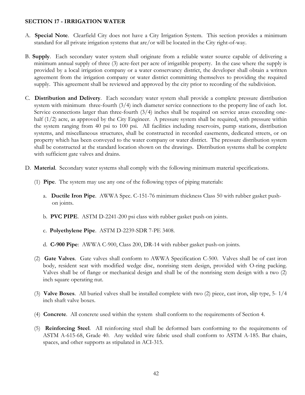#### **SECTION 17 - IRRIGATION WATER**

- A. **Special Note**. Clearfield City does not have a City Irrigation System. This section provides a minimum standard for all private irrigation systems that are/or will be located in the City right-of-way.
- B. **Supply**. Each secondary water system shall originate from a reliable water source capable of delivering a minimum annual supply of three (3) acre-feet per acre of irrigatible property. In the case where the supply is provided by a local irrigation company or a water conservancy district, the developer shall obtain a written agreement from the irrigation company or water district committing themselves to providing the required supply. This agreement shall be reviewed and approved by the city prior to recording of the subdivision.
- C. **Distribution and Delivery**. Each secondary water system shall provide a complete pressure distribution system with minimum three-fourth (3/4) inch diameter service connections to the property line of each lot. Service connections larger than three-fourth (3/4) inches shall be required on service areas exceeding onehalf  $(1/2)$  acre, as approved by the City Engineer. A pressure system shall be required, with pressure within the system ranging from 40 psi to 100 psi. All facilities including reservoirs, pump stations, distribution systems, and miscellaneous structures, shall be constructed in recorded easements, dedicated streets, or on property which has been conveyed to the water company or water district. The pressure distribution system shall be constructed at the standard location shown on the drawings. Distribution systems shall be complete with sufficient gate valves and drains.
- D. **Material**. Secondary water systems shall comply with the following minimum material specifications.
	- (1) **Pipe**. The system may use any one of the following types of piping materials:
		- a. **Ductile Iron Pipe**. AWWA Spec. C-151-76 minimum thickness Class 50 with rubber gasket pushon joints.
		- b. **PVC PIPE**. ASTM D-2241-200 psi class with rubber gasket push-on joints.
		- c. **Polyethylene Pipe**. ASTM D-2239-SDR 7-PE 3408.
		- d. **C-900 Pipe**: AWWA C-900, Class 200, DR-14 with rubber gasket push-on joints.
	- (2) **Gate Valves**. Gate valves shall conform to AWWA Specification C-500. Valves shall be of cast iron body, resident seat with modified wedge disc, nonrising stem design, provided with O-ring packing. Valves shall be of flange or mechanical design and shall be of the nonrising stem design with a two (2) inch square operating nut.
	- (3) **Valve Boxes**. All buried valves shall be installed complete with two (2) piece, cast iron, slip type, 5- 1/4 inch shaft valve boxes.
	- (4) **Concrete**. All concrete used within the system shall conform to the requirements of Section 4.
	- (5) **Reinforcing Steel**. All reinforcing steel shall be deformed bars conforming to the requirements of ASTM A-615-68, Grade 40. Any welded wire fabric used shall conform to ASTM A-185. Bar chairs, spaces, and other supports as stipulated in ACI-315.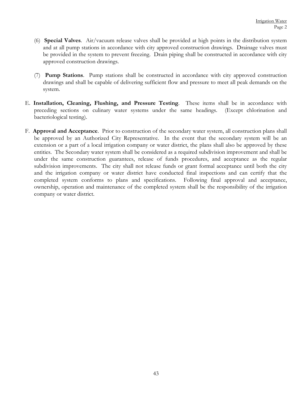- (6) **Special Valves**. Air/vacuum release valves shall be provided at high points in the distribution system and at all pump stations in accordance with city approved construction drawings. Drainage valves must be provided in the system to prevent freezing. Drain piping shall be constructed in accordance with city approved construction drawings.
- (7) **Pump Stations**. Pump stations shall be constructed in accordance with city approved construction drawings and shall be capable of delivering sufficient flow and pressure to meet all peak demands on the system.
- E. **Installation, Cleaning, Flushing, and Pressure Testing**. These items shall be in accordance with preceding sections on culinary water systems under the same headings. (Except chlorination and bacteriological testing).
- F. **Approval and Acceptance**. Prior to construction of the secondary water system, all construction plans shall be approved by an Authorized City Representative. In the event that the secondary system will be an extension or a part of a local irrigation company or water district, the plans shall also be approved by these entities. The Secondary water system shall be considered as a required subdivision improvement and shall be under the same construction guarantees, release of funds procedures, and acceptance as the regular subdivision improvements. The city shall not release funds or grant formal acceptance until both the city and the irrigation company or water district have conducted final inspections and can certify that the completed system conforms to plans and specifications. Following final approval and acceptance, ownership, operation and maintenance of the completed system shall be the responsibility of the irrigation company or water district.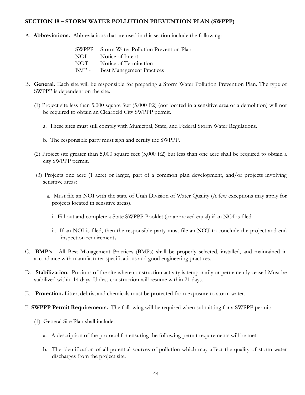#### **SECTION 18 – STORM WATER POLLUTION PREVENTION PLAN (SWPPP)**

- A. **Abbreviations.** Abbreviations that are used in this section include the following:
	- SWPPP Storm Water Pollution Prevention Plan NOI - Notice of Intent NOT - Notice of Termination BMP - Best Management Practices
- B. **General.** Each site will be responsible for preparing a Storm Water Pollution Prevention Plan. The type of SWPPP is dependent on the site.
	- (1) Project site less than 5,000 square feet (5,000 ft2) (not located in a sensitive area or a demolition) will not be required to obtain an Clearfield City SWPPP permit.
		- a. These sites must still comply with Municipal, State, and Federal Storm Water Regulations.
		- b. The responsible party must sign and certify the SWPPP.
	- (2) Project site greater than 5,000 square feet (5,000 ft2) but less than one acre shall be required to obtain a city SWPPP permit.
	- (3) Projects one acre (1 acre) or larger, part of a common plan development, and/or projects involving sensitive areas:
		- a. Must file an NOI with the state of Utah Division of Water Quality (A few exceptions may apply for projects located in sensitive areas).
			- i. Fill out and complete a State SWPPP Booklet (or approved equal) if an NOI is filed.
			- ii. If an NOI is filed, then the responsible party must file an NOT to conclude the project and end inspection requirements.
- C. **BMP's**. All Best Management Practices (BMPs) shall be properly selected, installed, and maintained in accordance with manufacturer specifications and good engineering practices.
- D. **Stabilization.** Portions of the site where construction activity is temporarily or permanently ceased Must be stabilized within 14 days. Unless construction will resume within 21 days.
- E. **Protection.** Litter, debris, and chemicals must be protected from exposure to storm water.
- F. **SWPPP Permit Requirements.** The following will be required when submitting for a SWPPP permit:
	- (1) General Site Plan shall include:
		- a. A description of the protocol for ensuring the following permit requirements will be met.
		- b. The identification of all potential sources of pollution which may affect the quality of storm water discharges from the project site.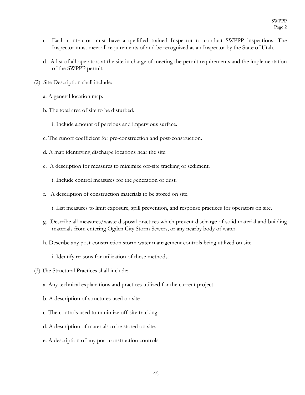- c. Each contractor must have a qualified trained Inspector to conduct SWPPP inspections. The Inspector must meet all requirements of and be recognized as an Inspector by the State of Utah.
- d. A list of all operators at the site in charge of meeting the permit requirements and the implementation of the SWPPP permit.
- (2) Site Description shall include:
	- a. A general location map.
	- b. The total area of site to be disturbed.
		- i. Include amount of pervious and impervious surface.
	- c. The runoff coefficient for pre-construction and post-construction.
	- d. A map identifying discharge locations near the site.
	- e. A description for measures to minimize off-site tracking of sediment.
		- i. Include control measures for the generation of dust.
	- f. A description of construction materials to be stored on site.
		- i. List measures to limit exposure, spill prevention, and response practices for operators on site.
	- g. Describe all measures/waste disposal practices which prevent discharge of solid material and building materials from entering Ogden City Storm Sewers, or any nearby body of water.
	- h. Describe any post-construction storm water management controls being utilized on site.
		- i. Identify reasons for utilization of these methods.
- (3) The Structural Practices shall include:
	- a. Any technical explanations and practices utilized for the current project.
	- b. A description of structures used on site.
	- c. The controls used to minimize off-site tracking.
	- d. A description of materials to be stored on site.
	- e. A description of any post-construction controls.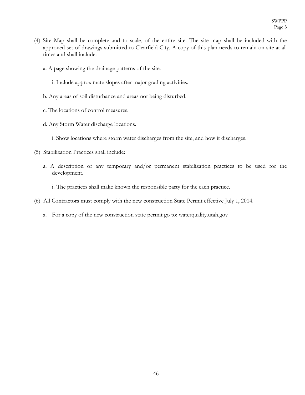- (4) Site Map shall be complete and to scale, of the entire site. The site map shall be included with the approved set of drawings submitted to Clearfield City. A copy of this plan needs to remain on site at all times and shall include:
	- a. A page showing the drainage patterns of the site.
		- i. Include approximate slopes after major grading activities.
	- b. Any areas of soil disturbance and areas not being disturbed.
	- c. The locations of control measures.
	- d. Any Storm Water discharge locations.
		- i. Show locations where storm water discharges from the site, and how it discharges.
- (5) Stabilization Practices shall include:
	- a. A description of any temporary and/or permanent stabilization practices to be used for the development.
		- i. The practices shall make known the responsible party for the each practice.
- (6) All Contractors must comply with the new construction State Permit effective July 1, 2014.
	- a. For a copy of the new construction state permit go to: waterquality.utah.gov